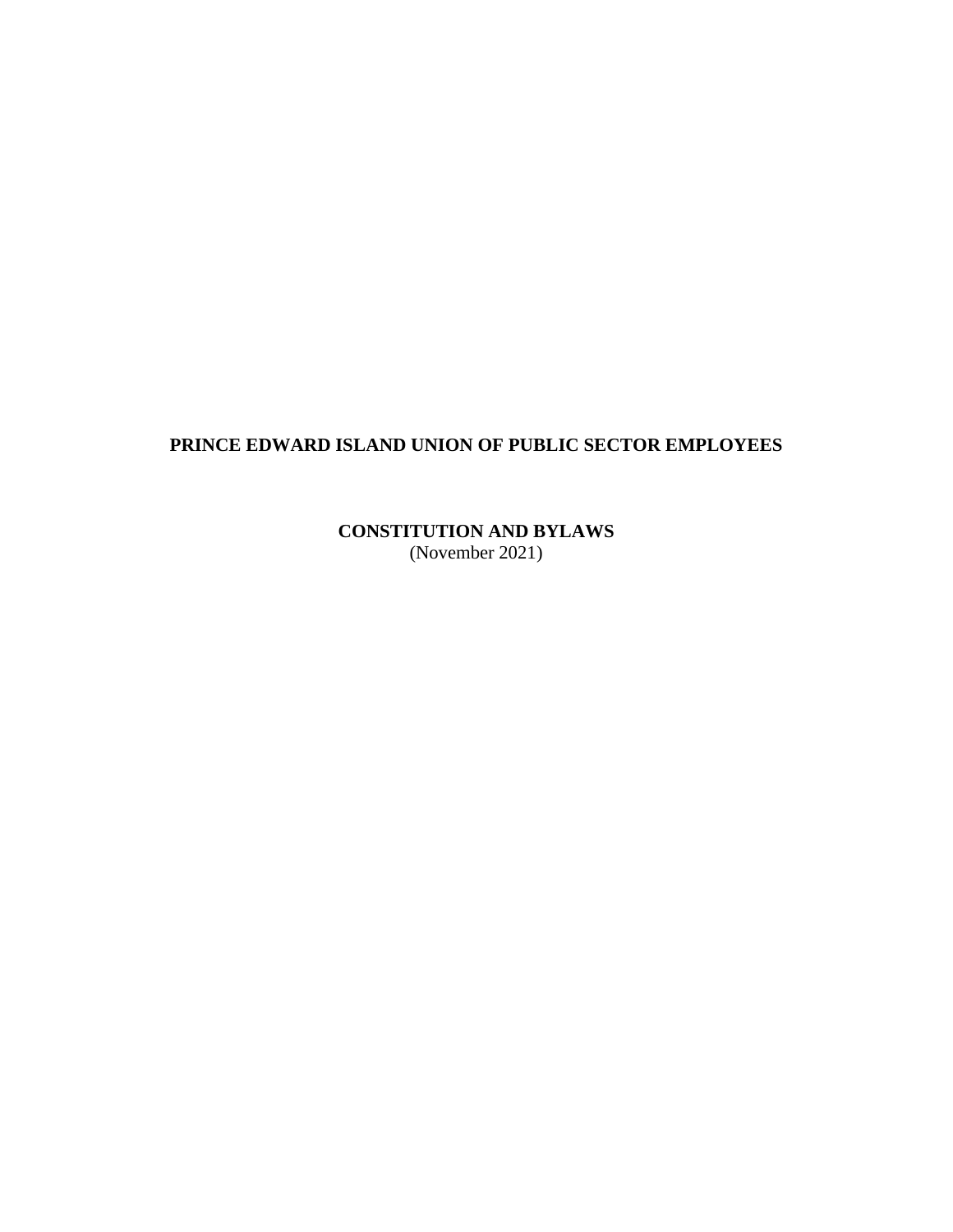# **PRINCE EDWARD ISLAND UNION OF PUBLIC SECTOR EMPLOYEES**

**CONSTITUTION AND BYLAWS** (November 2021)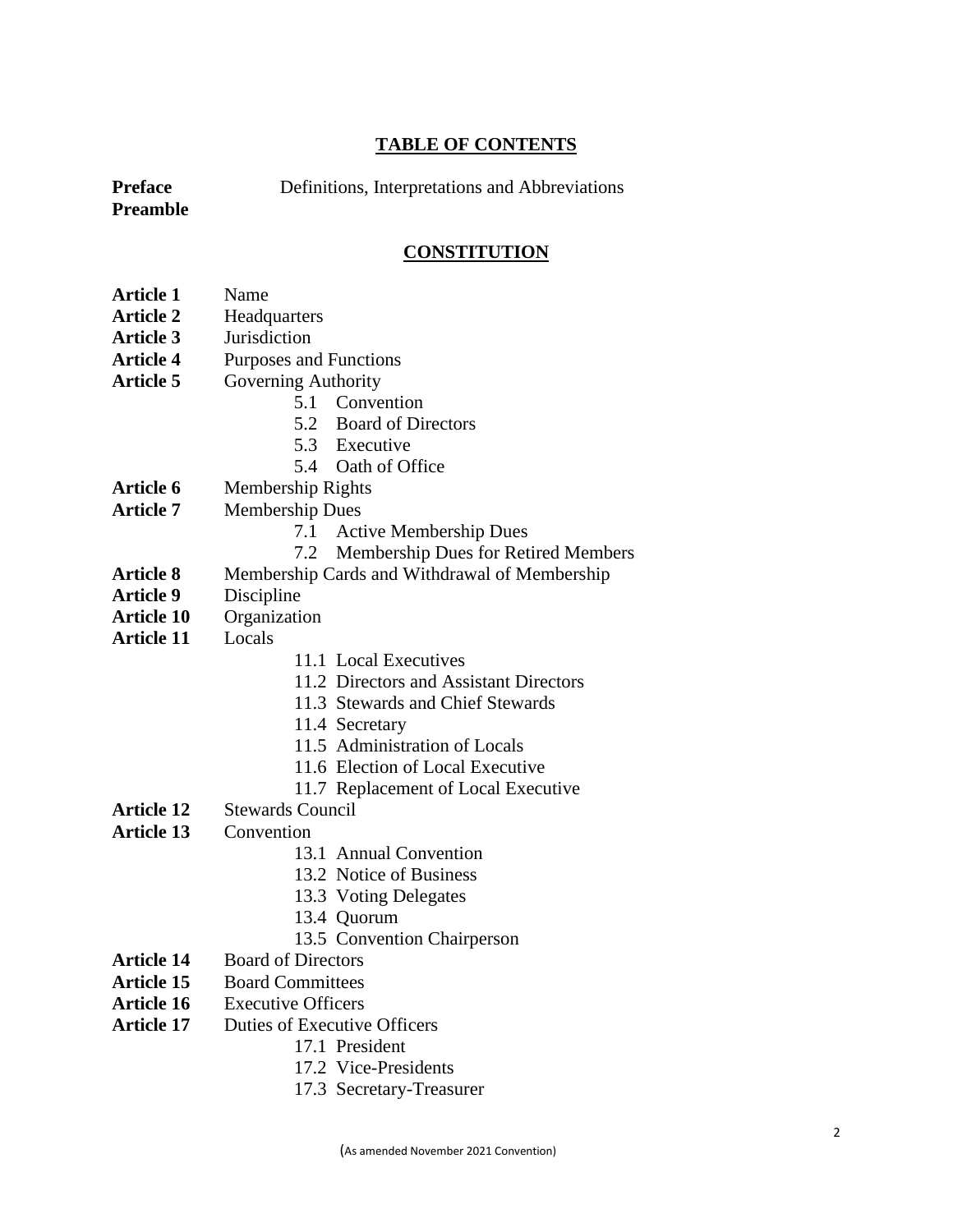### **TABLE OF CONTENTS**

**Preface** Definitions, Interpretations and Abbreviations

**Preamble**

# **CONSTITUTION**

- **Article 1** Name
- **Article 2** Headquarters
- **Article 3** Jurisdiction
- **Article 4** Purposes and Functions
- **Article 5** Governing Authority
	- 5.1 Convention
	- 5.2 Board of Directors
	- 5.3 Executive
	- 5.4 Oath of Office
- **Article 6** Membership Rights
- **Article 7** Membership Dues
	- 7.1 Active Membership Dues
	- 7.2 Membership Dues for Retired Members
- **Article 8** Membership Cards and Withdrawal of Membership
- **Article 9** Discipline
- **Article 10** Organization
- **Article 11** Locals
- 11.1 Local Executives
- 11.2 Directors and Assistant Directors
- 11.3 Stewards and Chief Stewards
- 11.4 Secretary
- 11.5 Administration of Locals
- 11.6 Election of Local Executive
- 11.7 Replacement of Local Executive
- **Article 12** Stewards Council
- **Article 13** Convention
	- 13.1 Annual Convention
	- 13.2 Notice of Business
	- 13.3 Voting Delegates
	- 13.4 Quorum
		- 13.5 Convention Chairperson
- **Article 14** Board of Directors
- **Article 15** Board Committees
- **Article 16** Executive Officers
- **Article 17** Duties of Executive Officers
	- 17.1 President
	- 17.2 Vice-Presidents
	- 17.3 Secretary-Treasurer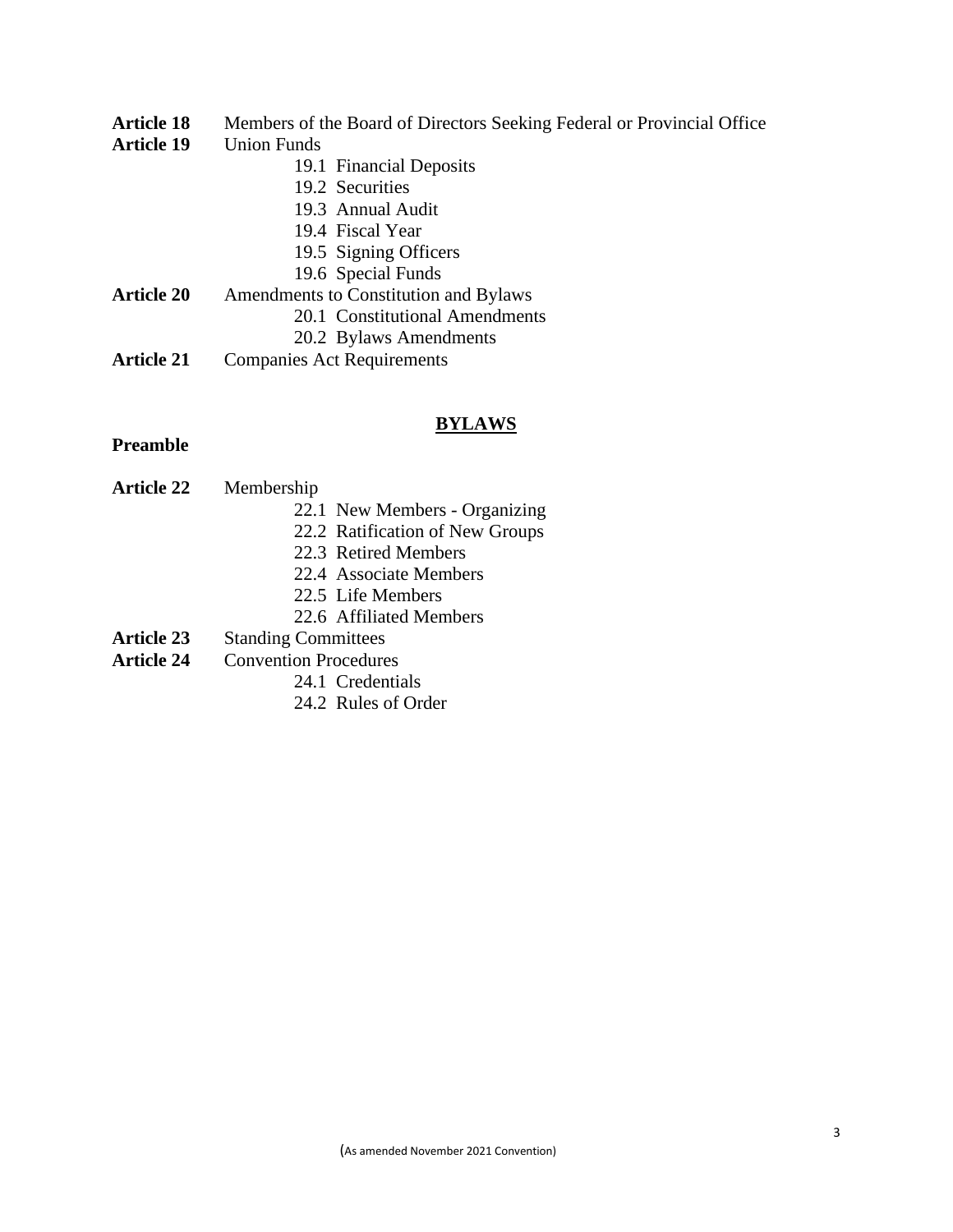**Article 18** Members of the Board of Directors Seeking Federal or Provincial Office

### **Article 19** Union Funds

- 19.1 Financial Deposits
- 19.2 Securities
- 19.3 Annual Audit
- 19.4 Fiscal Year
- 19.5 Signing Officers
- 19.6 Special Funds
- **Article 20** Amendments to Constitution and Bylaws
	- 20.1 Constitutional Amendments
	- 20.2 Bylaws Amendments
- **Article 21** Companies Act Requirements

### **BYLAWS**

### **Preamble**

- **Article 22** Membership
	- 22.1 New Members Organizing
	- 22.2 Ratification of New Groups
	- 22.3 Retired Members
	- 22.4 Associate Members
	- 22.5 Life Members
	- 22.6 Affiliated Members
- **Article 23** Standing Committees
- **Article 24** Convention Procedures
	- 24.1 Credentials
	- 24.2 Rules of Order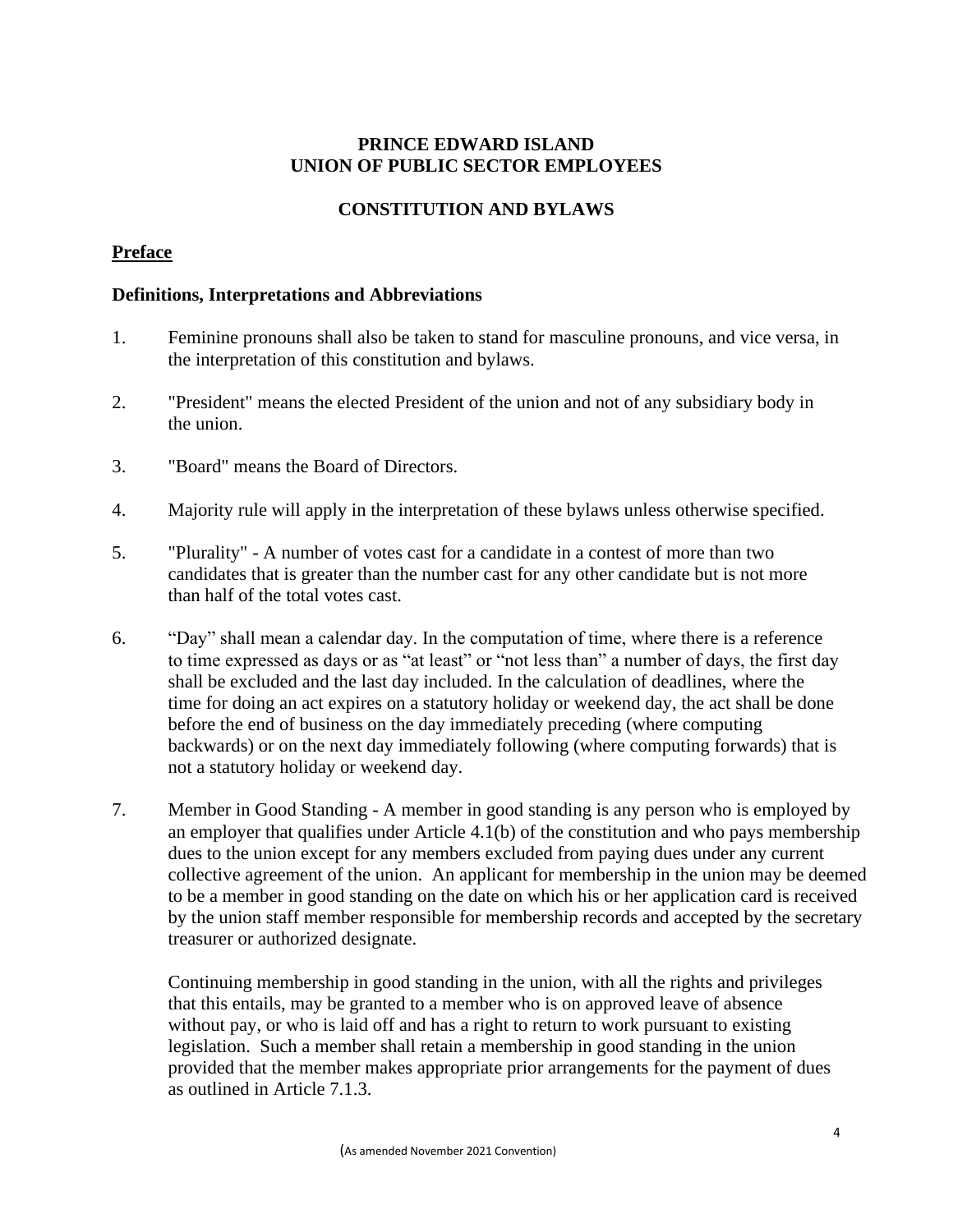## **PRINCE EDWARD ISLAND UNION OF PUBLIC SECTOR EMPLOYEES**

## **CONSTITUTION AND BYLAWS**

## **Preface**

### **Definitions, Interpretations and Abbreviations**

- 1. Feminine pronouns shall also be taken to stand for masculine pronouns, and vice versa, in the interpretation of this constitution and bylaws.
- 2. "President" means the elected President of the union and not of any subsidiary body in the union.
- 3. "Board" means the Board of Directors.
- 4. Majority rule will apply in the interpretation of these bylaws unless otherwise specified.
- 5. "Plurality" A number of votes cast for a candidate in a contest of more than two candidates that is greater than the number cast for any other candidate but is not more than half of the total votes cast.
- 6. "Day" shall mean a calendar day. In the computation of time, where there is a reference to time expressed as days or as "at least" or "not less than" a number of days, the first day shall be excluded and the last day included. In the calculation of deadlines, where the time for doing an act expires on a statutory holiday or weekend day, the act shall be done before the end of business on the day immediately preceding (where computing backwards) or on the next day immediately following (where computing forwards) that is not a statutory holiday or weekend day.
- 7. Member in Good Standing A member in good standing is any person who is employed by an employer that qualifies under Article 4.1(b) of the constitution and who pays membership dues to the union except for any members excluded from paying dues under any current collective agreement of the union. An applicant for membership in the union may be deemed to be a member in good standing on the date on which his or her application card is received by the union staff member responsible for membership records and accepted by the secretary treasurer or authorized designate.

Continuing membership in good standing in the union, with all the rights and privileges that this entails, may be granted to a member who is on approved leave of absence without pay, or who is laid off and has a right to return to work pursuant to existing legislation. Such a member shall retain a membership in good standing in the union provided that the member makes appropriate prior arrangements for the payment of dues as outlined in Article 7.1.3.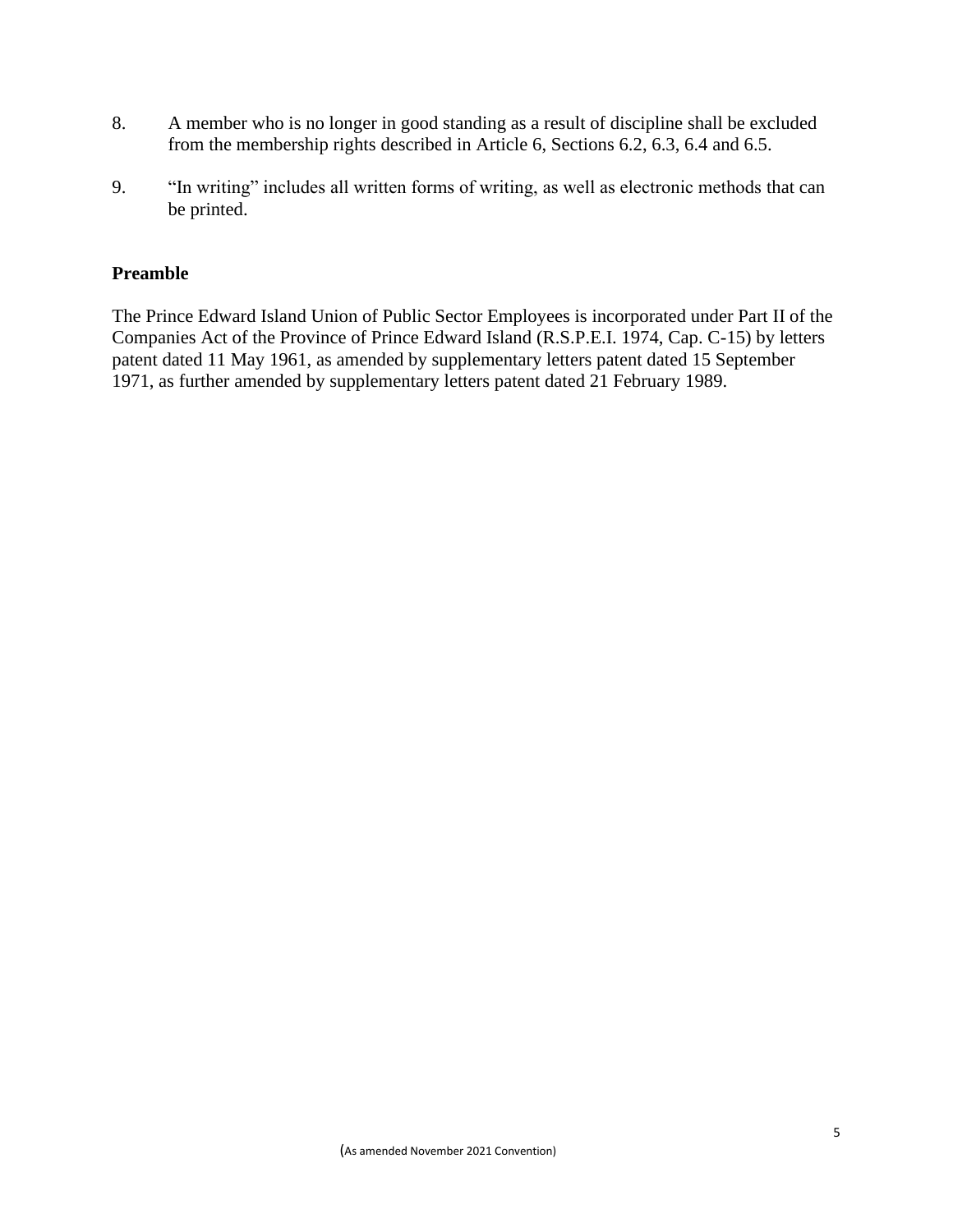- 8. A member who is no longer in good standing as a result of discipline shall be excluded from the membership rights described in Article 6, Sections 6.2, 6.3, 6.4 and 6.5.
- 9. "In writing" includes all written forms of writing, as well as electronic methods that can be printed.

### **Preamble**

The Prince Edward Island Union of Public Sector Employees is incorporated under Part II of the Companies Act of the Province of Prince Edward Island (R.S.P.E.I. 1974, Cap. C-15) by letters patent dated 11 May 1961, as amended by supplementary letters patent dated 15 September 1971, as further amended by supplementary letters patent dated 21 February 1989.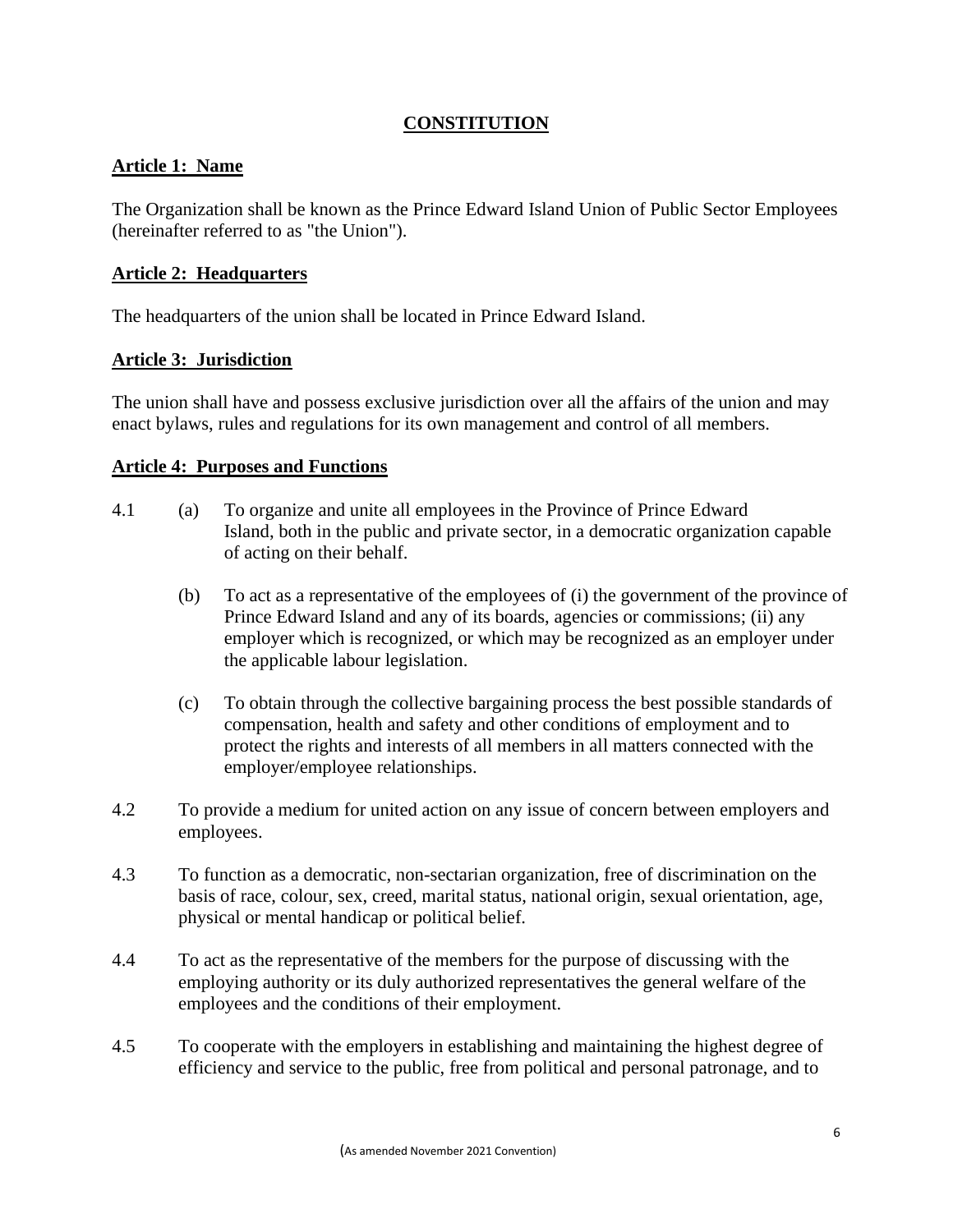## **CONSTITUTION**

### **Article 1: Name**

The Organization shall be known as the Prince Edward Island Union of Public Sector Employees (hereinafter referred to as "the Union").

### **Article 2: Headquarters**

The headquarters of the union shall be located in Prince Edward Island.

### **Article 3: Jurisdiction**

The union shall have and possess exclusive jurisdiction over all the affairs of the union and may enact bylaws, rules and regulations for its own management and control of all members.

### **Article 4: Purposes and Functions**

- 4.1 (a) To organize and unite all employees in the Province of Prince Edward Island, both in the public and private sector, in a democratic organization capable of acting on their behalf.
	- (b) To act as a representative of the employees of (i) the government of the province of Prince Edward Island and any of its boards, agencies or commissions; (ii) any employer which is recognized, or which may be recognized as an employer under the applicable labour legislation.
	- (c) To obtain through the collective bargaining process the best possible standards of compensation, health and safety and other conditions of employment and to protect the rights and interests of all members in all matters connected with the employer/employee relationships.
- 4.2 To provide a medium for united action on any issue of concern between employers and employees.
- 4.3 To function as a democratic, non-sectarian organization, free of discrimination on the basis of race, colour, sex, creed, marital status, national origin, sexual orientation, age, physical or mental handicap or political belief.
- 4.4 To act as the representative of the members for the purpose of discussing with the employing authority or its duly authorized representatives the general welfare of the employees and the conditions of their employment.
- 4.5 To cooperate with the employers in establishing and maintaining the highest degree of efficiency and service to the public, free from political and personal patronage, and to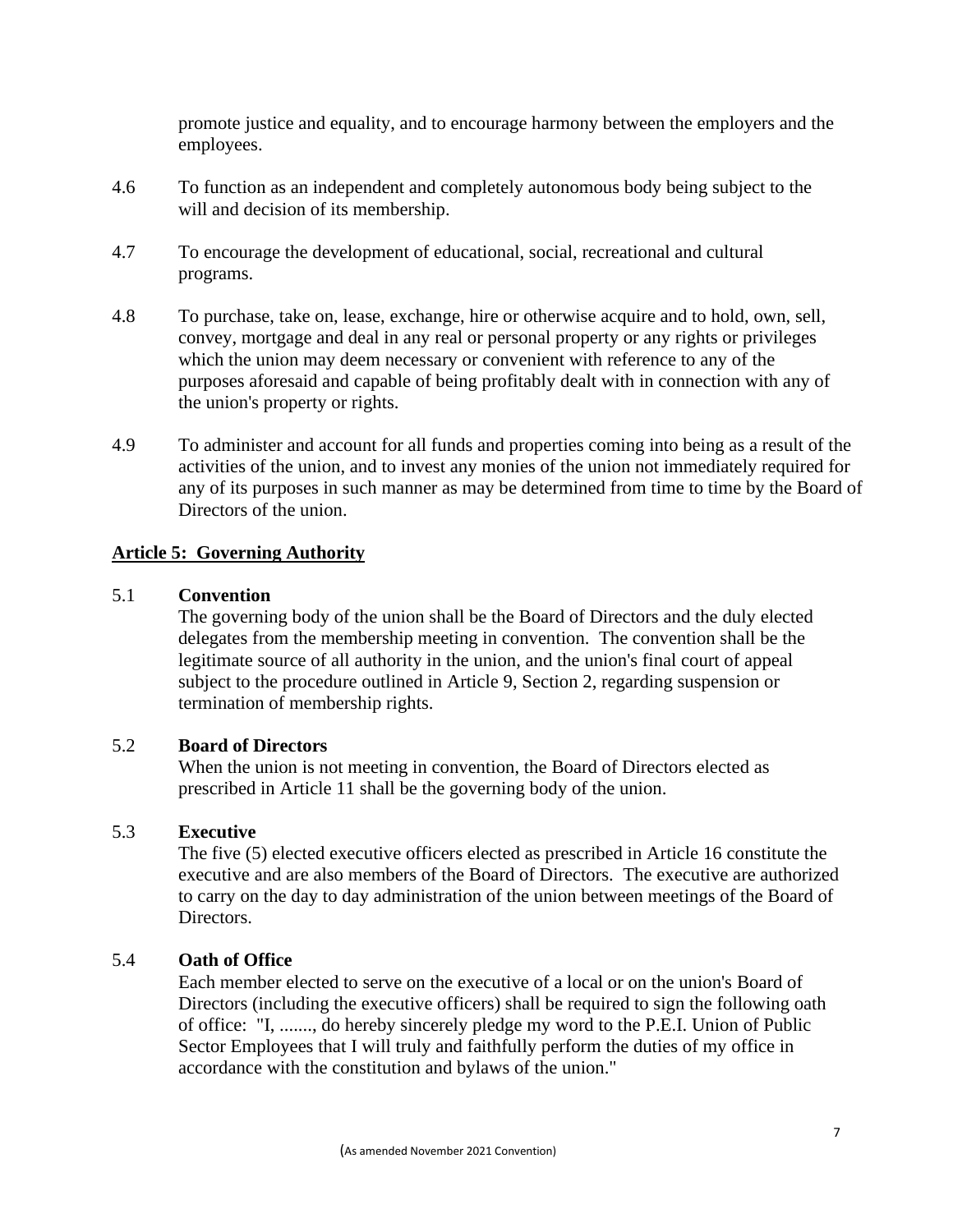promote justice and equality, and to encourage harmony between the employers and the employees.

- 4.6 To function as an independent and completely autonomous body being subject to the will and decision of its membership.
- 4.7 To encourage the development of educational, social, recreational and cultural programs.
- 4.8 To purchase, take on, lease, exchange, hire or otherwise acquire and to hold, own, sell, convey, mortgage and deal in any real or personal property or any rights or privileges which the union may deem necessary or convenient with reference to any of the purposes aforesaid and capable of being profitably dealt with in connection with any of the union's property or rights.
- 4.9 To administer and account for all funds and properties coming into being as a result of the activities of the union, and to invest any monies of the union not immediately required for any of its purposes in such manner as may be determined from time to time by the Board of Directors of the union.

### **Article 5: Governing Authority**

#### 5.1 **Convention**

The governing body of the union shall be the Board of Directors and the duly elected delegates from the membership meeting in convention. The convention shall be the legitimate source of all authority in the union, and the union's final court of appeal subject to the procedure outlined in Article 9, Section 2, regarding suspension or termination of membership rights.

### 5.2 **Board of Directors**

When the union is not meeting in convention, the Board of Directors elected as prescribed in Article 11 shall be the governing body of the union.

### 5.3 **Executive**

The five (5) elected executive officers elected as prescribed in Article 16 constitute the executive and are also members of the Board of Directors. The executive are authorized to carry on the day to day administration of the union between meetings of the Board of Directors.

### 5.4 **Oath of Office**

Each member elected to serve on the executive of a local or on the union's Board of Directors (including the executive officers) shall be required to sign the following oath of office: "I, ......., do hereby sincerely pledge my word to the P.E.I. Union of Public Sector Employees that I will truly and faithfully perform the duties of my office in accordance with the constitution and bylaws of the union."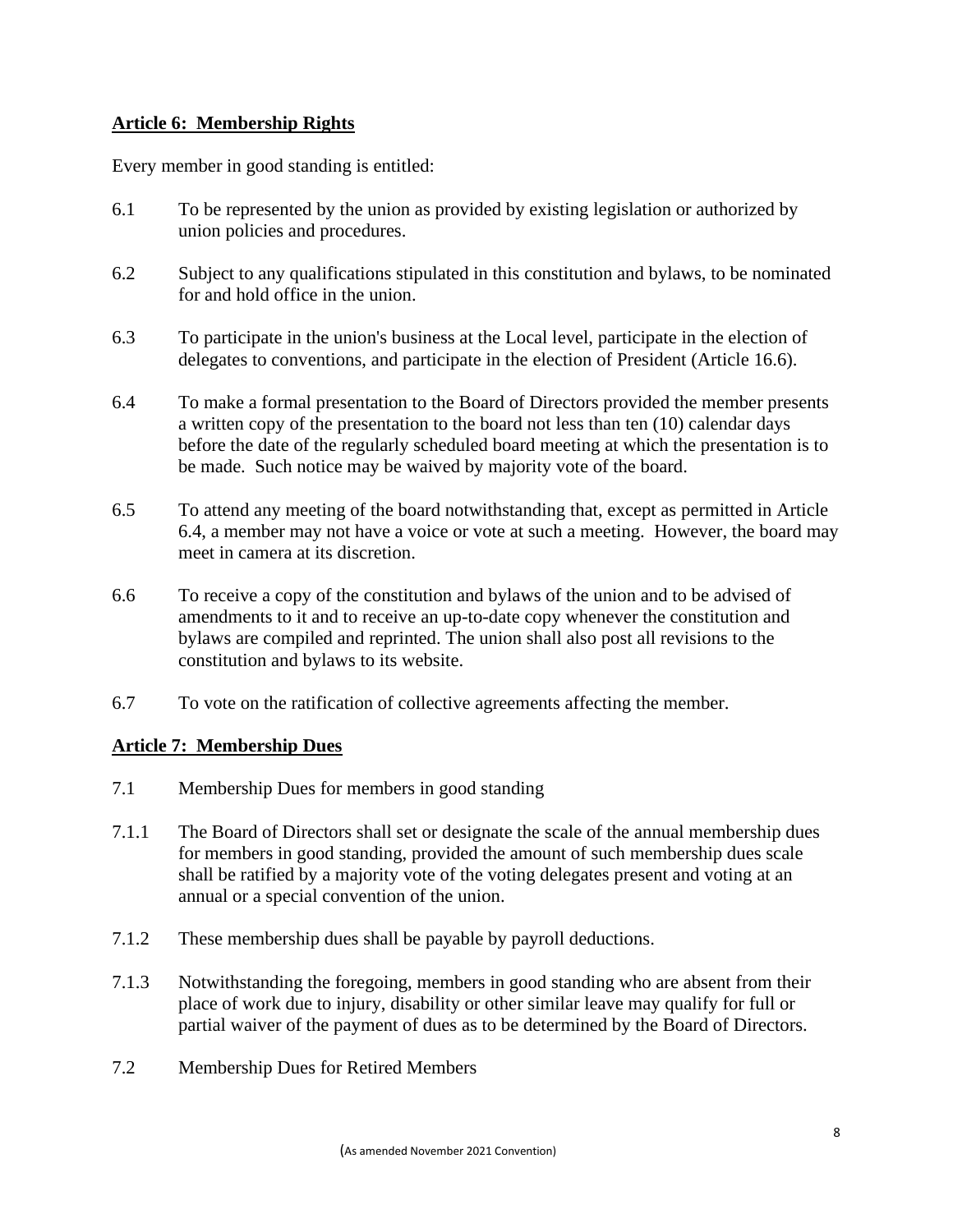### **Article 6: Membership Rights**

Every member in good standing is entitled:

- 6.1 To be represented by the union as provided by existing legislation or authorized by union policies and procedures.
- 6.2 Subject to any qualifications stipulated in this constitution and bylaws, to be nominated for and hold office in the union.
- 6.3 To participate in the union's business at the Local level, participate in the election of delegates to conventions, and participate in the election of President (Article 16.6).
- 6.4 To make a formal presentation to the Board of Directors provided the member presents a written copy of the presentation to the board not less than ten (10) calendar days before the date of the regularly scheduled board meeting at which the presentation is to be made. Such notice may be waived by majority vote of the board.
- 6.5 To attend any meeting of the board notwithstanding that, except as permitted in Article 6.4, a member may not have a voice or vote at such a meeting. However, the board may meet in camera at its discretion.
- 6.6 To receive a copy of the constitution and bylaws of the union and to be advised of amendments to it and to receive an up-to-date copy whenever the constitution and bylaws are compiled and reprinted. The union shall also post all revisions to the constitution and bylaws to its website.
- 6.7 To vote on the ratification of collective agreements affecting the member.

### **Article 7: Membership Dues**

- 7.1 Membership Dues for members in good standing
- 7.1.1 The Board of Directors shall set or designate the scale of the annual membership dues for members in good standing, provided the amount of such membership dues scale shall be ratified by a majority vote of the voting delegates present and voting at an annual or a special convention of the union.
- 7.1.2 These membership dues shall be payable by payroll deductions.
- 7.1.3 Notwithstanding the foregoing, members in good standing who are absent from their place of work due to injury, disability or other similar leave may qualify for full or partial waiver of the payment of dues as to be determined by the Board of Directors.
- 7.2 Membership Dues for Retired Members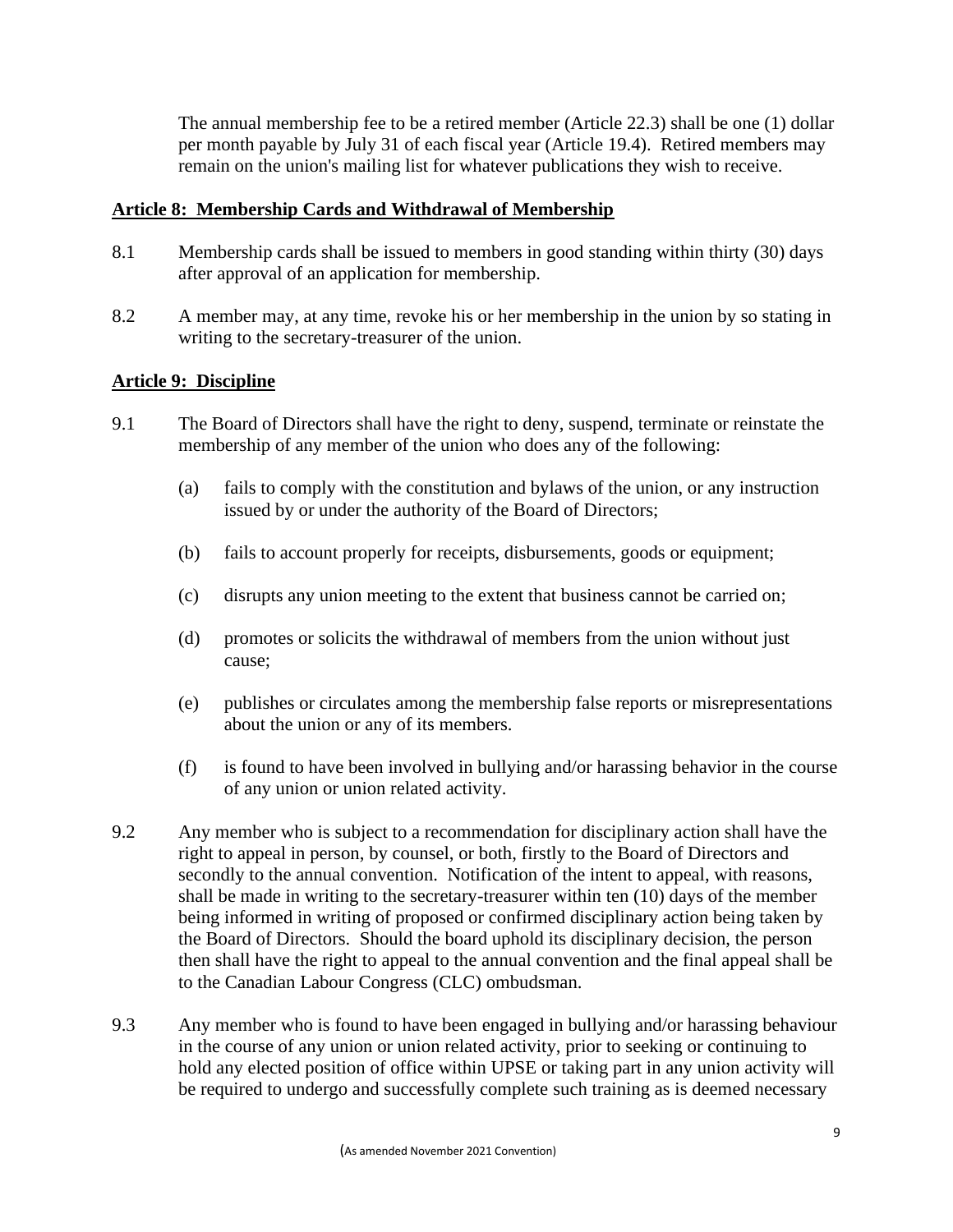The annual membership fee to be a retired member (Article 22.3) shall be one (1) dollar per month payable by July 31 of each fiscal year (Article 19.4). Retired members may remain on the union's mailing list for whatever publications they wish to receive.

### **Article 8: Membership Cards and Withdrawal of Membership**

- 8.1 Membership cards shall be issued to members in good standing within thirty (30) days after approval of an application for membership.
- 8.2 A member may, at any time, revoke his or her membership in the union by so stating in writing to the secretary-treasurer of the union.

### **Article 9: Discipline**

- 9.1 The Board of Directors shall have the right to deny, suspend, terminate or reinstate the membership of any member of the union who does any of the following:
	- (a) fails to comply with the constitution and bylaws of the union, or any instruction issued by or under the authority of the Board of Directors;
	- (b) fails to account properly for receipts, disbursements, goods or equipment;
	- (c) disrupts any union meeting to the extent that business cannot be carried on;
	- (d) promotes or solicits the withdrawal of members from the union without just cause;
	- (e) publishes or circulates among the membership false reports or misrepresentations about the union or any of its members.
	- (f) is found to have been involved in bullying and/or harassing behavior in the course of any union or union related activity.
- 9.2 Any member who is subject to a recommendation for disciplinary action shall have the right to appeal in person, by counsel, or both, firstly to the Board of Directors and secondly to the annual convention. Notification of the intent to appeal, with reasons, shall be made in writing to the secretary-treasurer within ten (10) days of the member being informed in writing of proposed or confirmed disciplinary action being taken by the Board of Directors. Should the board uphold its disciplinary decision, the person then shall have the right to appeal to the annual convention and the final appeal shall be to the Canadian Labour Congress (CLC) ombudsman.
- 9.3 Any member who is found to have been engaged in bullying and/or harassing behaviour in the course of any union or union related activity, prior to seeking or continuing to hold any elected position of office within UPSE or taking part in any union activity will be required to undergo and successfully complete such training as is deemed necessary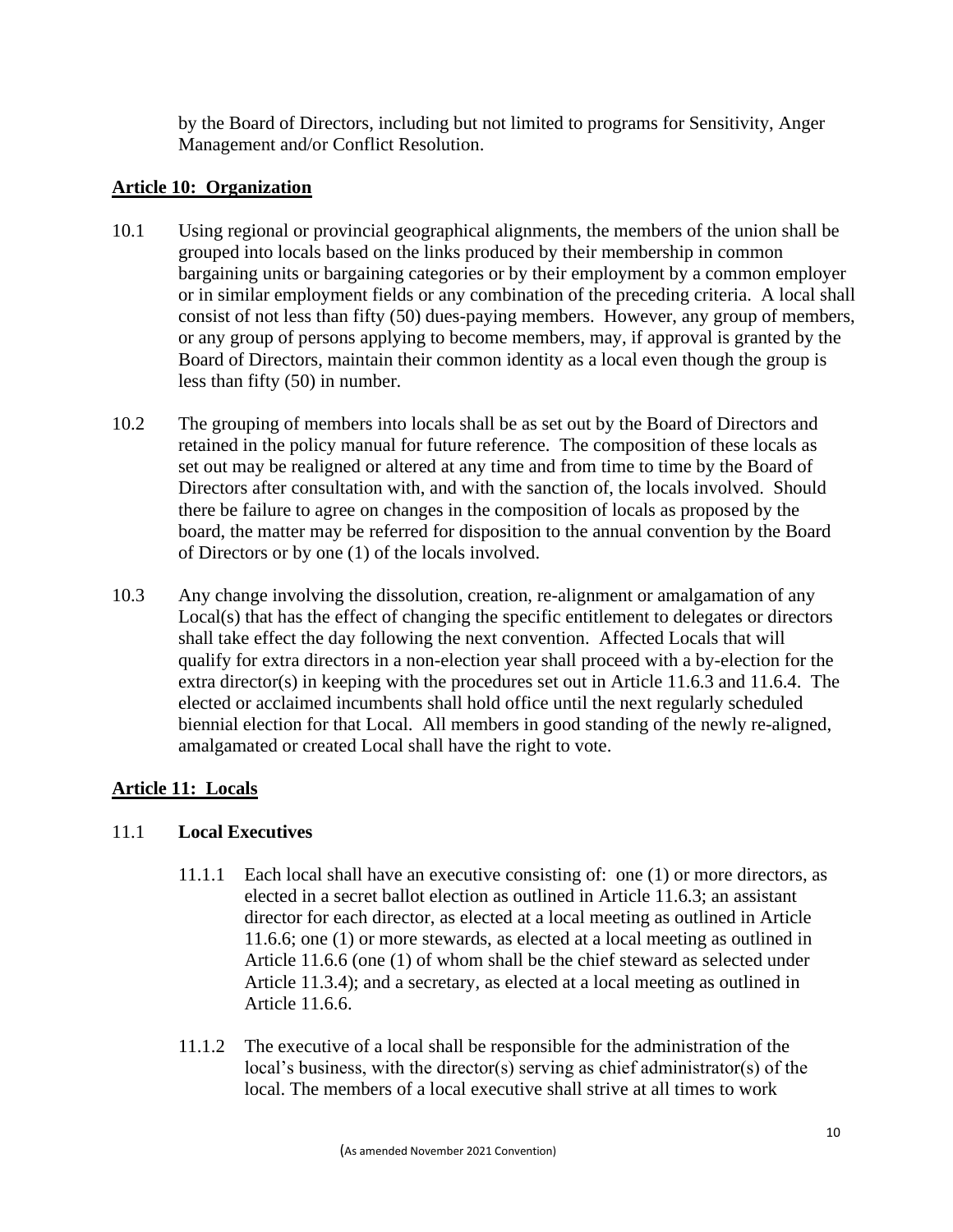by the Board of Directors, including but not limited to programs for Sensitivity, Anger Management and/or Conflict Resolution.

## **Article 10: Organization**

- 10.1 Using regional or provincial geographical alignments, the members of the union shall be grouped into locals based on the links produced by their membership in common bargaining units or bargaining categories or by their employment by a common employer or in similar employment fields or any combination of the preceding criteria. A local shall consist of not less than fifty (50) dues-paying members. However, any group of members, or any group of persons applying to become members, may, if approval is granted by the Board of Directors, maintain their common identity as a local even though the group is less than fifty (50) in number.
- 10.2 The grouping of members into locals shall be as set out by the Board of Directors and retained in the policy manual for future reference. The composition of these locals as set out may be realigned or altered at any time and from time to time by the Board of Directors after consultation with, and with the sanction of, the locals involved. Should there be failure to agree on changes in the composition of locals as proposed by the board, the matter may be referred for disposition to the annual convention by the Board of Directors or by one (1) of the locals involved.
- 10.3 Any change involving the dissolution, creation, re-alignment or amalgamation of any Local(s) that has the effect of changing the specific entitlement to delegates or directors shall take effect the day following the next convention. Affected Locals that will qualify for extra directors in a non-election year shall proceed with a by-election for the extra director(s) in keeping with the procedures set out in Article 11.6.3 and 11.6.4. The elected or acclaimed incumbents shall hold office until the next regularly scheduled biennial election for that Local. All members in good standing of the newly re-aligned, amalgamated or created Local shall have the right to vote.

# **Article 11: Locals**

## 11.1 **Local Executives**

- 11.1.1 Each local shall have an executive consisting of: one (1) or more directors, as elected in a secret ballot election as outlined in Article 11.6.3; an assistant director for each director, as elected at a local meeting as outlined in Article 11.6.6; one (1) or more stewards, as elected at a local meeting as outlined in Article 11.6.6 (one (1) of whom shall be the chief steward as selected under Article 11.3.4); and a secretary, as elected at a local meeting as outlined in Article 11.6.6.
- 11.1.2 The executive of a local shall be responsible for the administration of the local's business, with the director(s) serving as chief administrator(s) of the local. The members of a local executive shall strive at all times to work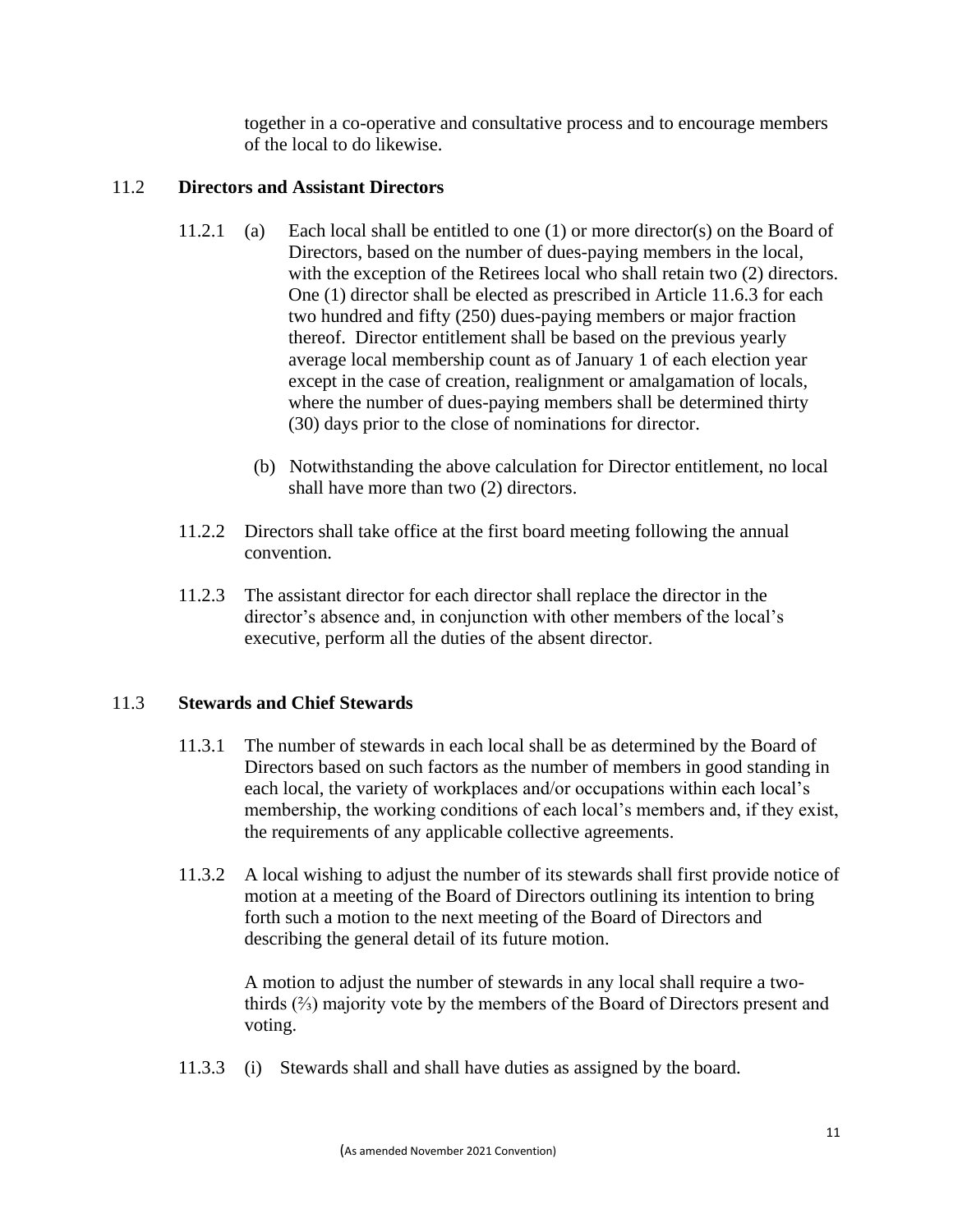together in a co-operative and consultative process and to encourage members of the local to do likewise.

## 11.2 **Directors and Assistant Directors**

- 11.2.1 (a) Each local shall be entitled to one (1) or more director(s) on the Board of Directors, based on the number of dues-paying members in the local, with the exception of the Retirees local who shall retain two  $(2)$  directors. One (1) director shall be elected as prescribed in Article 11.6.3 for each two hundred and fifty (250) dues-paying members or major fraction thereof. Director entitlement shall be based on the previous yearly average local membership count as of January 1 of each election year except in the case of creation, realignment or amalgamation of locals, where the number of dues-paying members shall be determined thirty (30) days prior to the close of nominations for director.
	- (b) Notwithstanding the above calculation for Director entitlement, no local shall have more than two (2) directors.
- 11.2.2 Directors shall take office at the first board meeting following the annual convention.
- 11.2.3 The assistant director for each director shall replace the director in the director's absence and, in conjunction with other members of the local's executive, perform all the duties of the absent director.

## 11.3 **Stewards and Chief Stewards**

- 11.3.1 The number of stewards in each local shall be as determined by the Board of Directors based on such factors as the number of members in good standing in each local, the variety of workplaces and/or occupations within each local's membership, the working conditions of each local's members and, if they exist, the requirements of any applicable collective agreements.
- 11.3.2 A local wishing to adjust the number of its stewards shall first provide notice of motion at a meeting of the Board of Directors outlining its intention to bring forth such a motion to the next meeting of the Board of Directors and describing the general detail of its future motion.

A motion to adjust the number of stewards in any local shall require a twothirds (⅔) majority vote by the members of the Board of Directors present and voting.

11.3.3 (i) Stewards shall and shall have duties as assigned by the board.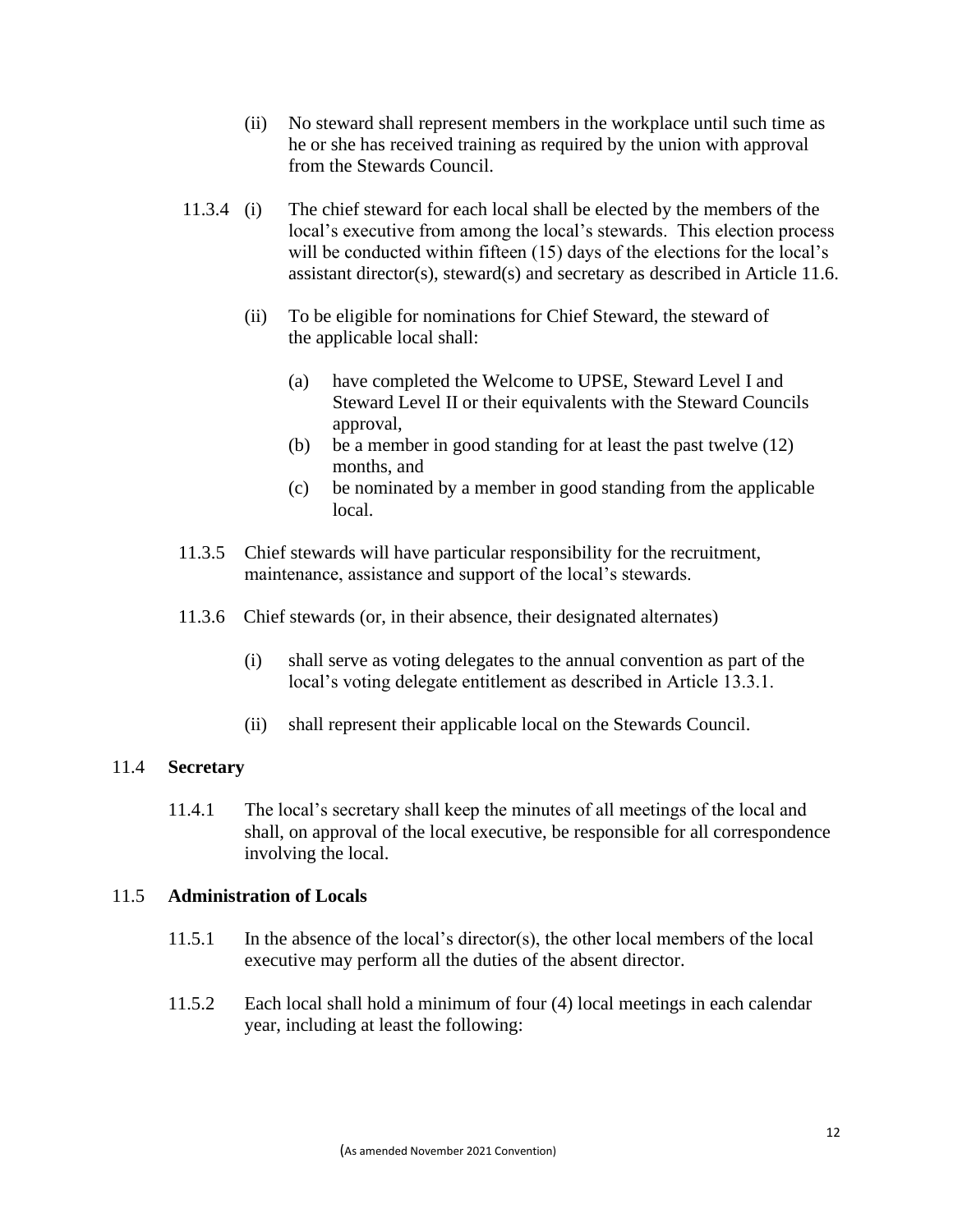- (ii) No steward shall represent members in the workplace until such time as he or she has received training as required by the union with approval from the Stewards Council.
- 11.3.4 (i) The chief steward for each local shall be elected by the members of the local's executive from among the local's stewards. This election process will be conducted within fifteen (15) days of the elections for the local's assistant director(s), steward(s) and secretary as described in Article 11.6.
	- (ii) To be eligible for nominations for Chief Steward, the steward of the applicable local shall:
		- (a) have completed the Welcome to UPSE, Steward Level I and Steward Level II or their equivalents with the Steward Councils approval,
		- (b) be a member in good standing for at least the past twelve (12) months, and
		- (c) be nominated by a member in good standing from the applicable local.
- 11.3.5 Chief stewards will have particular responsibility for the recruitment, maintenance, assistance and support of the local's stewards.
- 11.3.6 Chief stewards (or, in their absence, their designated alternates)
	- (i) shall serve as voting delegates to the annual convention as part of the local's voting delegate entitlement as described in Article 13.3.1.
	- (ii) shall represent their applicable local on the Stewards Council.

## 11.4 **Secretary**

11.4.1 The local's secretary shall keep the minutes of all meetings of the local and shall, on approval of the local executive, be responsible for all correspondence involving the local.

### 11.5 **Administration of Locals**

- 11.5.1 In the absence of the local's director(s), the other local members of the local executive may perform all the duties of the absent director.
- 11.5.2 Each local shall hold a minimum of four (4) local meetings in each calendar year, including at least the following: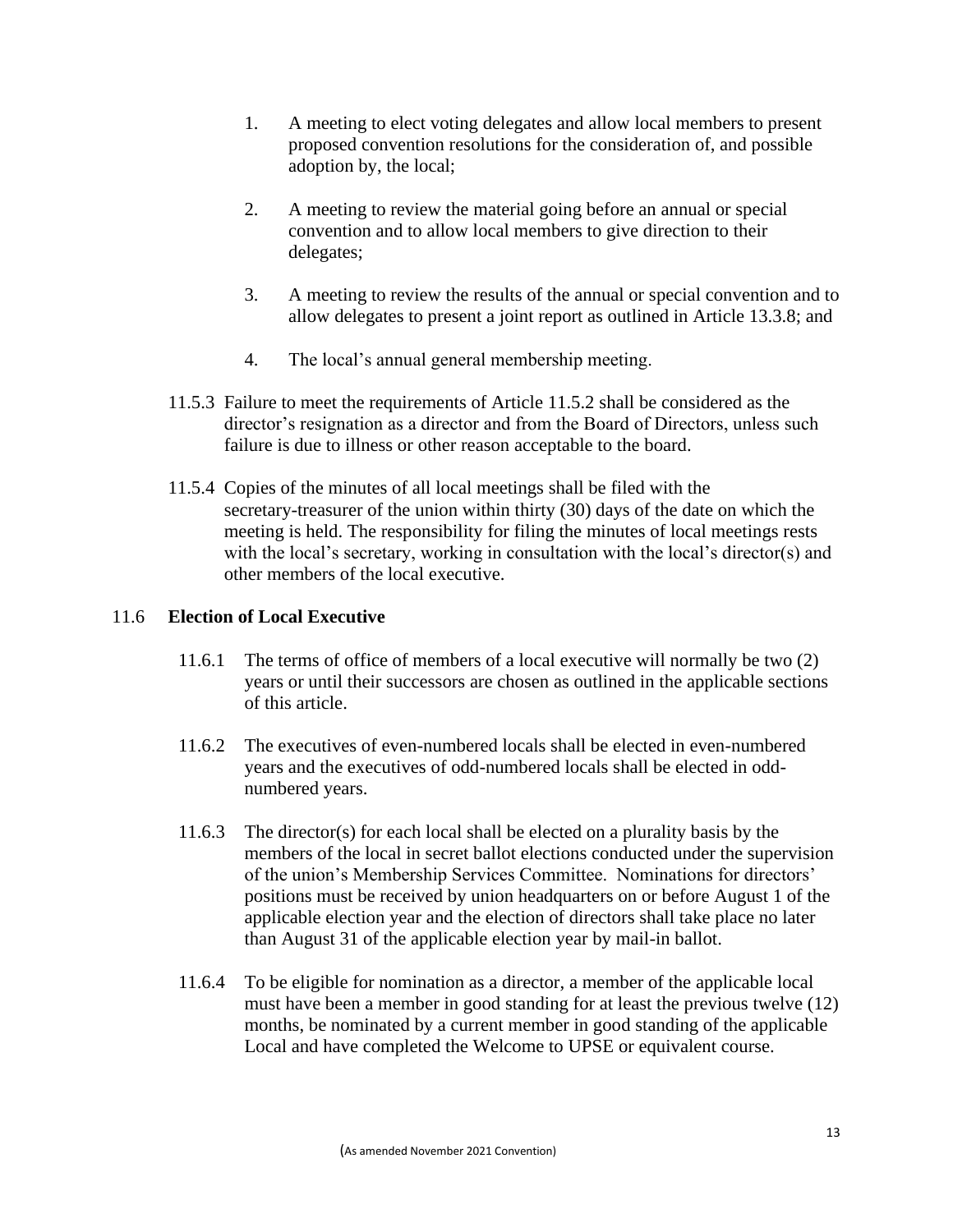- 1. A meeting to elect voting delegates and allow local members to present proposed convention resolutions for the consideration of, and possible adoption by, the local;
- 2. A meeting to review the material going before an annual or special convention and to allow local members to give direction to their delegates;
- 3. A meeting to review the results of the annual or special convention and to allow delegates to present a joint report as outlined in Article 13.3.8; and
- 4. The local's annual general membership meeting.
- 11.5.3 Failure to meet the requirements of Article 11.5.2 shall be considered as the director's resignation as a director and from the Board of Directors, unless such failure is due to illness or other reason acceptable to the board.
- 11.5.4 Copies of the minutes of all local meetings shall be filed with the secretary-treasurer of the union within thirty (30) days of the date on which the meeting is held. The responsibility for filing the minutes of local meetings rests with the local's secretary, working in consultation with the local's director(s) and other members of the local executive.

## 11.6 **Election of Local Executive**

- 11.6.1 The terms of office of members of a local executive will normally be two (2) years or until their successors are chosen as outlined in the applicable sections of this article.
- 11.6.2 The executives of even-numbered locals shall be elected in even-numbered years and the executives of odd-numbered locals shall be elected in oddnumbered years.
- 11.6.3 The director(s) for each local shall be elected on a plurality basis by the members of the local in secret ballot elections conducted under the supervision of the union's Membership Services Committee. Nominations for directors' positions must be received by union headquarters on or before August 1 of the applicable election year and the election of directors shall take place no later than August 31 of the applicable election year by mail-in ballot.
- 11.6.4 To be eligible for nomination as a director, a member of the applicable local must have been a member in good standing for at least the previous twelve (12) months, be nominated by a current member in good standing of the applicable Local and have completed the Welcome to UPSE or equivalent course.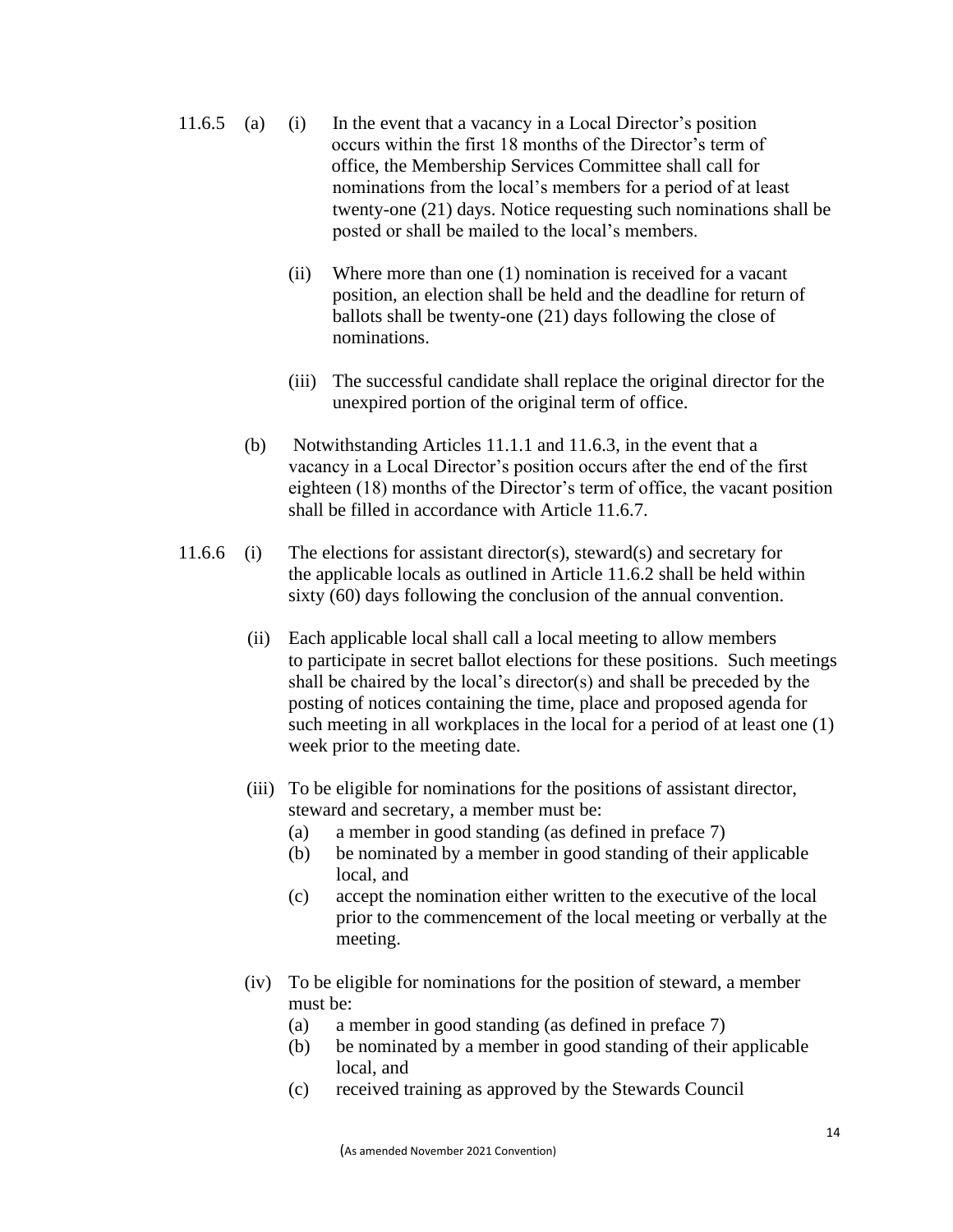- 11.6.5 (a) (i) In the event that a vacancy in a Local Director's position occurs within the first 18 months of the Director's term of office, the Membership Services Committee shall call for nominations from the local's members for a period of at least twenty-one (21) days. Notice requesting such nominations shall be posted or shall be mailed to the local's members.
	- (ii) Where more than one (1) nomination is received for a vacant position, an election shall be held and the deadline for return of ballots shall be twenty-one (21) days following the close of nominations.
	- (iii) The successful candidate shall replace the original director for the unexpired portion of the original term of office.
	- (b) Notwithstanding Articles 11.1.1 and 11.6.3, in the event that a vacancy in a Local Director's position occurs after the end of the first eighteen (18) months of the Director's term of office, the vacant position shall be filled in accordance with Article 11.6.7.
- 11.6.6 (i) The elections for assistant director(s), steward(s) and secretary for the applicable locals as outlined in Article 11.6.2 shall be held within sixty (60) days following the conclusion of the annual convention.
	- (ii) Each applicable local shall call a local meeting to allow members to participate in secret ballot elections for these positions. Such meetings shall be chaired by the local's director(s) and shall be preceded by the posting of notices containing the time, place and proposed agenda for such meeting in all workplaces in the local for a period of at least one (1) week prior to the meeting date.
	- (iii) To be eligible for nominations for the positions of assistant director, steward and secretary, a member must be:
		- (a) a member in good standing (as defined in preface 7)
		- (b) be nominated by a member in good standing of their applicable local, and
		- (c) accept the nomination either written to the executive of the local prior to the commencement of the local meeting or verbally at the meeting.
	- (iv) To be eligible for nominations for the position of steward, a member must be:
		- (a) a member in good standing (as defined in preface 7)
		- (b) be nominated by a member in good standing of their applicable local, and
		- (c) received training as approved by the Stewards Council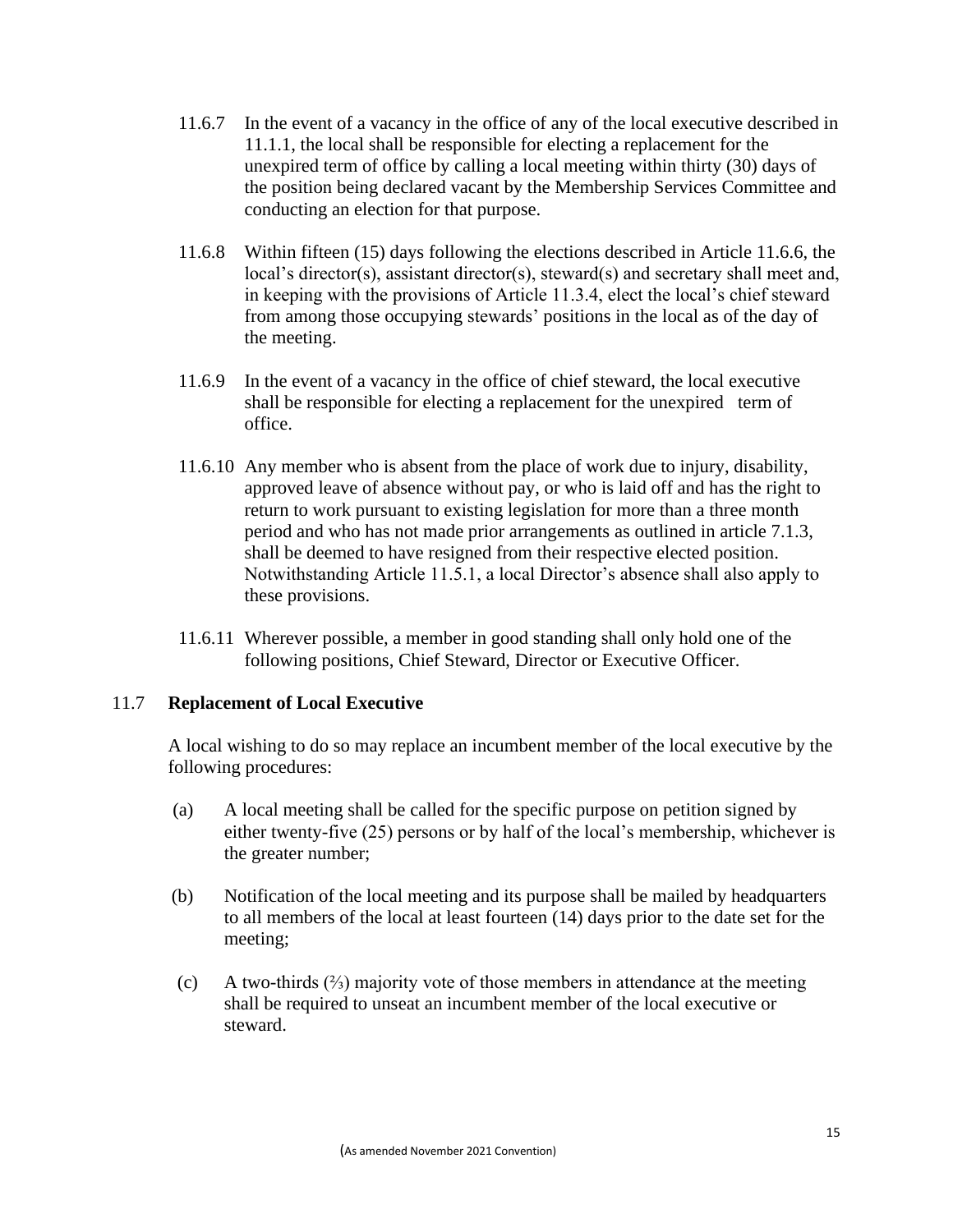- 11.6.7 In the event of a vacancy in the office of any of the local executive described in 11.1.1, the local shall be responsible for electing a replacement for the unexpired term of office by calling a local meeting within thirty (30) days of the position being declared vacant by the Membership Services Committee and conducting an election for that purpose.
- 11.6.8 Within fifteen (15) days following the elections described in Article 11.6.6, the local's director(s), assistant director(s), steward(s) and secretary shall meet and, in keeping with the provisions of Article 11.3.4, elect the local's chief steward from among those occupying stewards' positions in the local as of the day of the meeting.
- 11.6.9 In the event of a vacancy in the office of chief steward, the local executive shall be responsible for electing a replacement for the unexpired term of office.
- 11.6.10 Any member who is absent from the place of work due to injury, disability, approved leave of absence without pay, or who is laid off and has the right to return to work pursuant to existing legislation for more than a three month period and who has not made prior arrangements as outlined in article 7.1.3, shall be deemed to have resigned from their respective elected position. Notwithstanding Article 11.5.1, a local Director's absence shall also apply to these provisions.
- 11.6.11 Wherever possible, a member in good standing shall only hold one of the following positions, Chief Steward, Director or Executive Officer.

## 11.7 **Replacement of Local Executive**

 A local wishing to do so may replace an incumbent member of the local executive by the following procedures:

- (a) A local meeting shall be called for the specific purpose on petition signed by either twenty-five (25) persons or by half of the local's membership, whichever is the greater number;
- (b) Notification of the local meeting and its purpose shall be mailed by headquarters to all members of the local at least fourteen (14) days prior to the date set for the meeting;
- (c) A two-thirds (⅔) majority vote of those members in attendance at the meeting shall be required to unseat an incumbent member of the local executive or steward.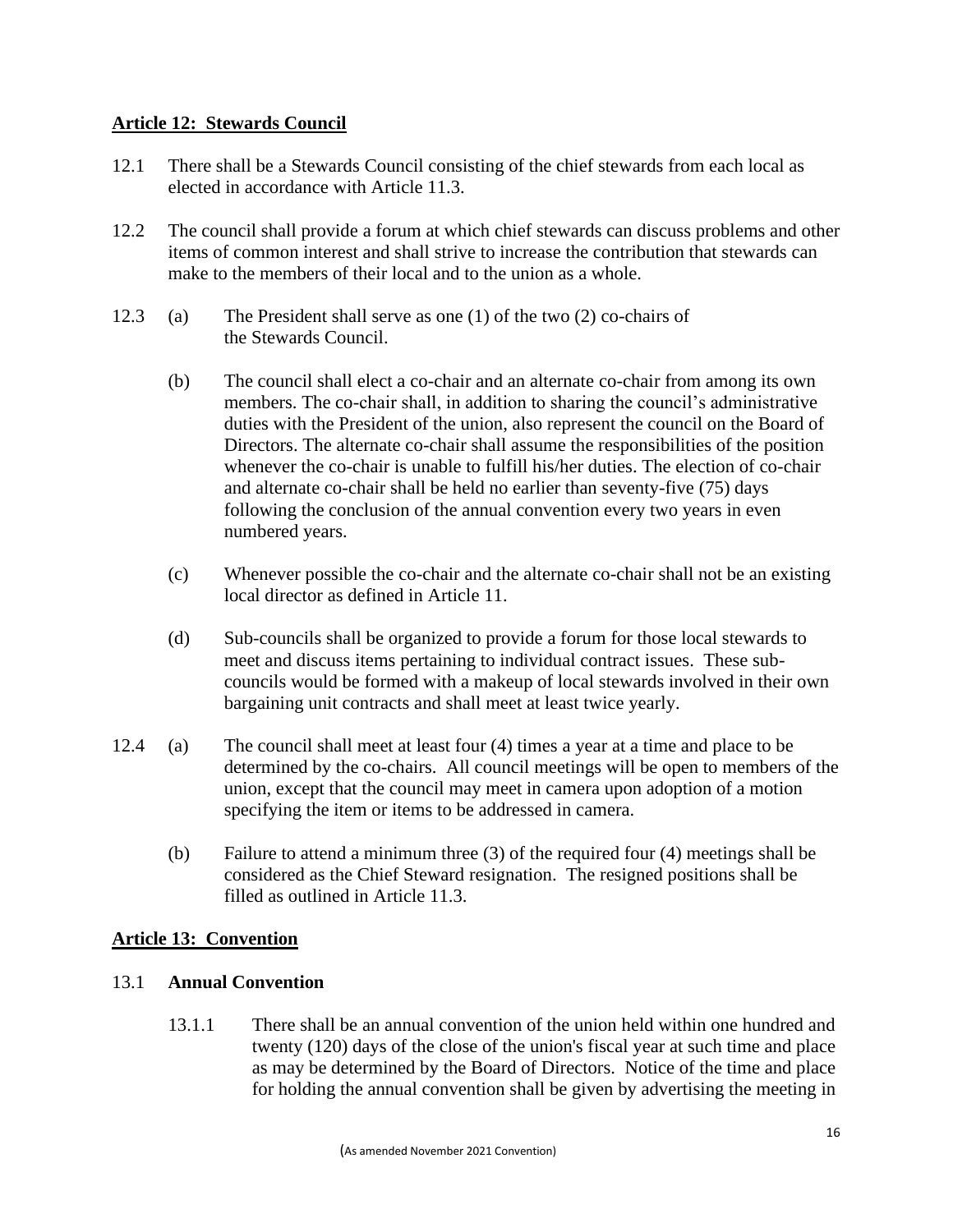### **Article 12: Stewards Council**

- 12.1 There shall be a Stewards Council consisting of the chief stewards from each local as elected in accordance with Article 11.3.
- 12.2 The council shall provide a forum at which chief stewards can discuss problems and other items of common interest and shall strive to increase the contribution that stewards can make to the members of their local and to the union as a whole.
- 12.3 (a) The President shall serve as one (1) of the two (2) co-chairs of the Stewards Council.
	- (b) The council shall elect a co-chair and an alternate co-chair from among its own members. The co-chair shall, in addition to sharing the council's administrative duties with the President of the union, also represent the council on the Board of Directors. The alternate co-chair shall assume the responsibilities of the position whenever the co-chair is unable to fulfill his/her duties. The election of co-chair and alternate co-chair shall be held no earlier than seventy-five (75) days following the conclusion of the annual convention every two years in even numbered years.
	- (c) Whenever possible the co-chair and the alternate co-chair shall not be an existing local director as defined in Article 11.
	- (d) Sub-councils shall be organized to provide a forum for those local stewards to meet and discuss items pertaining to individual contract issues. These subcouncils would be formed with a makeup of local stewards involved in their own bargaining unit contracts and shall meet at least twice yearly.
- 12.4 (a) The council shall meet at least four (4) times a year at a time and place to be determined by the co-chairs. All council meetings will be open to members of the union, except that the council may meet in camera upon adoption of a motion specifying the item or items to be addressed in camera.
	- (b) Failure to attend a minimum three (3) of the required four (4) meetings shall be considered as the Chief Steward resignation. The resigned positions shall be filled as outlined in Article 11.3.

## **Article 13: Convention**

### 13.1 **Annual Convention**

13.1.1 There shall be an annual convention of the union held within one hundred and twenty (120) days of the close of the union's fiscal year at such time and place as may be determined by the Board of Directors. Notice of the time and place for holding the annual convention shall be given by advertising the meeting in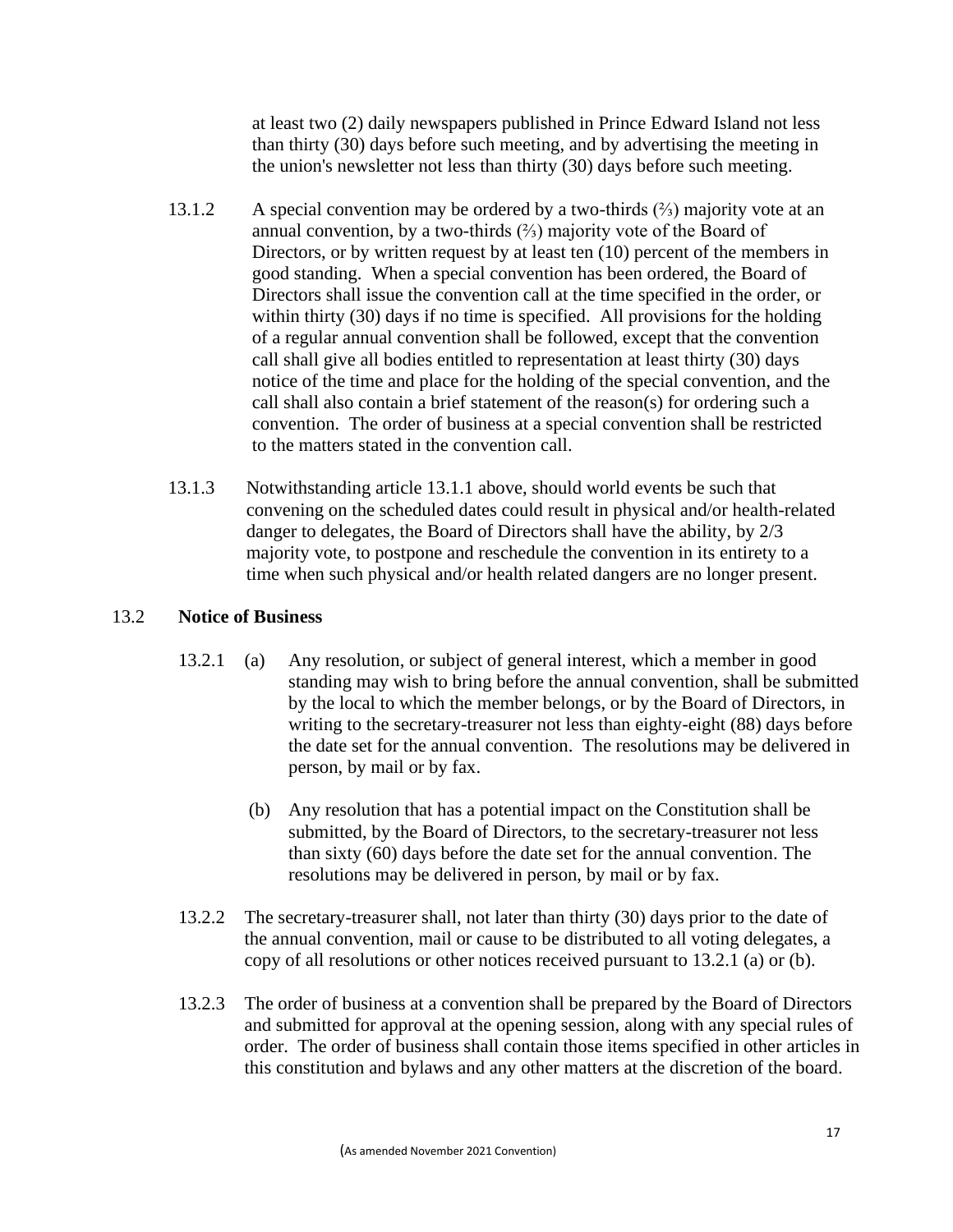at least two (2) daily newspapers published in Prince Edward Island not less than thirty (30) days before such meeting, and by advertising the meeting in the union's newsletter not less than thirty (30) days before such meeting.

- 13.1.2 A special convention may be ordered by a two-thirds  $(\frac{2}{3})$  majority vote at an annual convention, by a two-thirds (⅔) majority vote of the Board of Directors, or by written request by at least ten (10) percent of the members in good standing. When a special convention has been ordered, the Board of Directors shall issue the convention call at the time specified in the order, or within thirty (30) days if no time is specified. All provisions for the holding of a regular annual convention shall be followed, except that the convention call shall give all bodies entitled to representation at least thirty (30) days notice of the time and place for the holding of the special convention, and the call shall also contain a brief statement of the reason(s) for ordering such a convention. The order of business at a special convention shall be restricted to the matters stated in the convention call.
- 13.1.3 Notwithstanding article 13.1.1 above, should world events be such that convening on the scheduled dates could result in physical and/or health-related danger to delegates, the Board of Directors shall have the ability, by 2/3 majority vote, to postpone and reschedule the convention in its entirety to a time when such physical and/or health related dangers are no longer present.

## 13.2 **Notice of Business**

- 13.2.1 (a) Any resolution, or subject of general interest, which a member in good standing may wish to bring before the annual convention, shall be submitted by the local to which the member belongs, or by the Board of Directors, in writing to the secretary-treasurer not less than eighty-eight (88) days before the date set for the annual convention. The resolutions may be delivered in person, by mail or by fax.
	- (b) Any resolution that has a potential impact on the Constitution shall be submitted, by the Board of Directors, to the secretary-treasurer not less than sixty (60) days before the date set for the annual convention. The resolutions may be delivered in person, by mail or by fax.
- 13.2.2 The secretary-treasurer shall, not later than thirty (30) days prior to the date of the annual convention, mail or cause to be distributed to all voting delegates, a copy of all resolutions or other notices received pursuant to 13.2.1 (a) or (b).
- 13.2.3 The order of business at a convention shall be prepared by the Board of Directors and submitted for approval at the opening session, along with any special rules of order. The order of business shall contain those items specified in other articles in this constitution and bylaws and any other matters at the discretion of the board.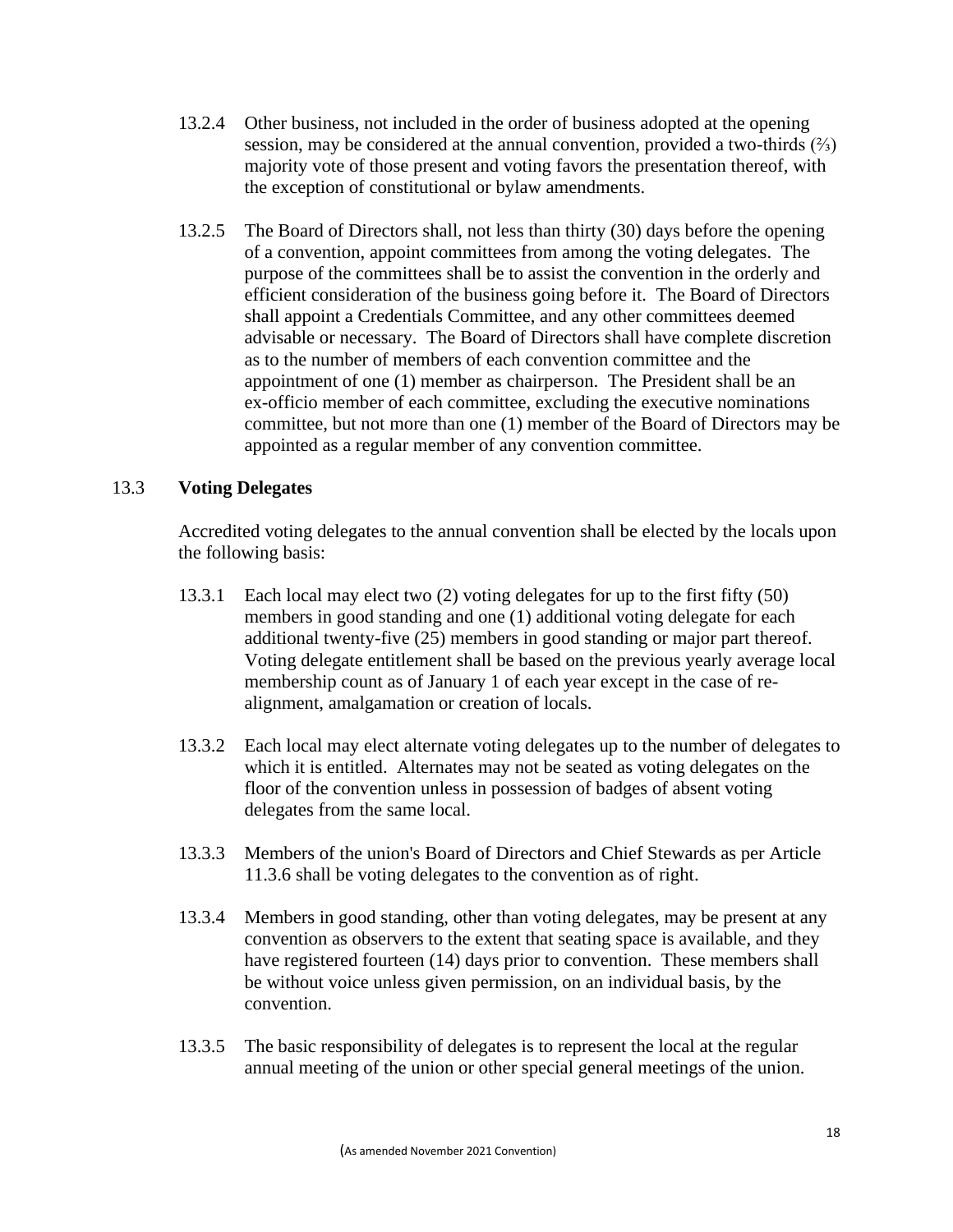- 13.2.4 Other business, not included in the order of business adopted at the opening session, may be considered at the annual convention, provided a two-thirds  $(\frac{2}{3})$ majority vote of those present and voting favors the presentation thereof, with the exception of constitutional or bylaw amendments.
- 13.2.5 The Board of Directors shall, not less than thirty (30) days before the opening of a convention, appoint committees from among the voting delegates. The purpose of the committees shall be to assist the convention in the orderly and efficient consideration of the business going before it. The Board of Directors shall appoint a Credentials Committee, and any other committees deemed advisable or necessary. The Board of Directors shall have complete discretion as to the number of members of each convention committee and the appointment of one (1) member as chairperson. The President shall be an ex-officio member of each committee, excluding the executive nominations committee, but not more than one (1) member of the Board of Directors may be appointed as a regular member of any convention committee.

## 13.3 **Voting Delegates**

Accredited voting delegates to the annual convention shall be elected by the locals upon the following basis:

- 13.3.1 Each local may elect two (2) voting delegates for up to the first fifty (50) members in good standing and one (1) additional voting delegate for each additional twenty-five (25) members in good standing or major part thereof. Voting delegate entitlement shall be based on the previous yearly average local membership count as of January 1 of each year except in the case of realignment, amalgamation or creation of locals.
- 13.3.2 Each local may elect alternate voting delegates up to the number of delegates to which it is entitled. Alternates may not be seated as voting delegates on the floor of the convention unless in possession of badges of absent voting delegates from the same local.
- 13.3.3 Members of the union's Board of Directors and Chief Stewards as per Article 11.3.6 shall be voting delegates to the convention as of right.
- 13.3.4 Members in good standing, other than voting delegates, may be present at any convention as observers to the extent that seating space is available, and they have registered fourteen (14) days prior to convention. These members shall be without voice unless given permission, on an individual basis, by the convention.
- 13.3.5 The basic responsibility of delegates is to represent the local at the regular annual meeting of the union or other special general meetings of the union.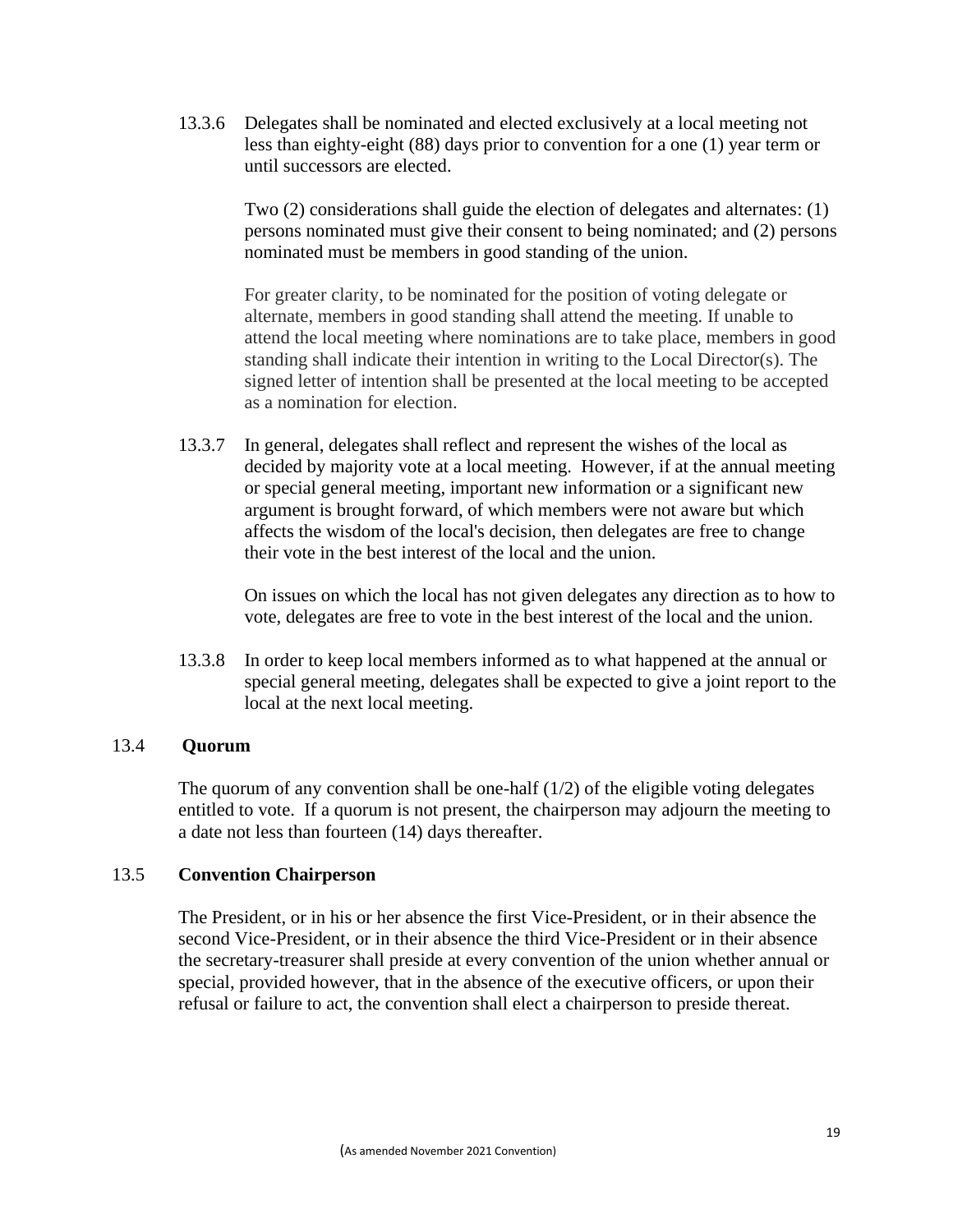13.3.6 Delegates shall be nominated and elected exclusively at a local meeting not less than eighty-eight (88) days prior to convention for a one (1) year term or until successors are elected.

> Two (2) considerations shall guide the election of delegates and alternates: (1) persons nominated must give their consent to being nominated; and (2) persons nominated must be members in good standing of the union.

> For greater clarity, to be nominated for the position of voting delegate or alternate, members in good standing shall attend the meeting. If unable to attend the local meeting where nominations are to take place, members in good standing shall indicate their intention in writing to the Local Director(s). The signed letter of intention shall be presented at the local meeting to be accepted as a nomination for election.

13.3.7 In general, delegates shall reflect and represent the wishes of the local as decided by majority vote at a local meeting. However, if at the annual meeting or special general meeting, important new information or a significant new argument is brought forward, of which members were not aware but which affects the wisdom of the local's decision, then delegates are free to change their vote in the best interest of the local and the union.

On issues on which the local has not given delegates any direction as to how to vote, delegates are free to vote in the best interest of the local and the union.

13.3.8 In order to keep local members informed as to what happened at the annual or special general meeting, delegates shall be expected to give a joint report to the local at the next local meeting.

### 13.4 **Quorum**

The quorum of any convention shall be one-half  $(1/2)$  of the eligible voting delegates entitled to vote. If a quorum is not present, the chairperson may adjourn the meeting to a date not less than fourteen (14) days thereafter.

### 13.5 **Convention Chairperson**

The President, or in his or her absence the first Vice-President, or in their absence the second Vice-President, or in their absence the third Vice-President or in their absence the secretary-treasurer shall preside at every convention of the union whether annual or special, provided however, that in the absence of the executive officers, or upon their refusal or failure to act, the convention shall elect a chairperson to preside thereat.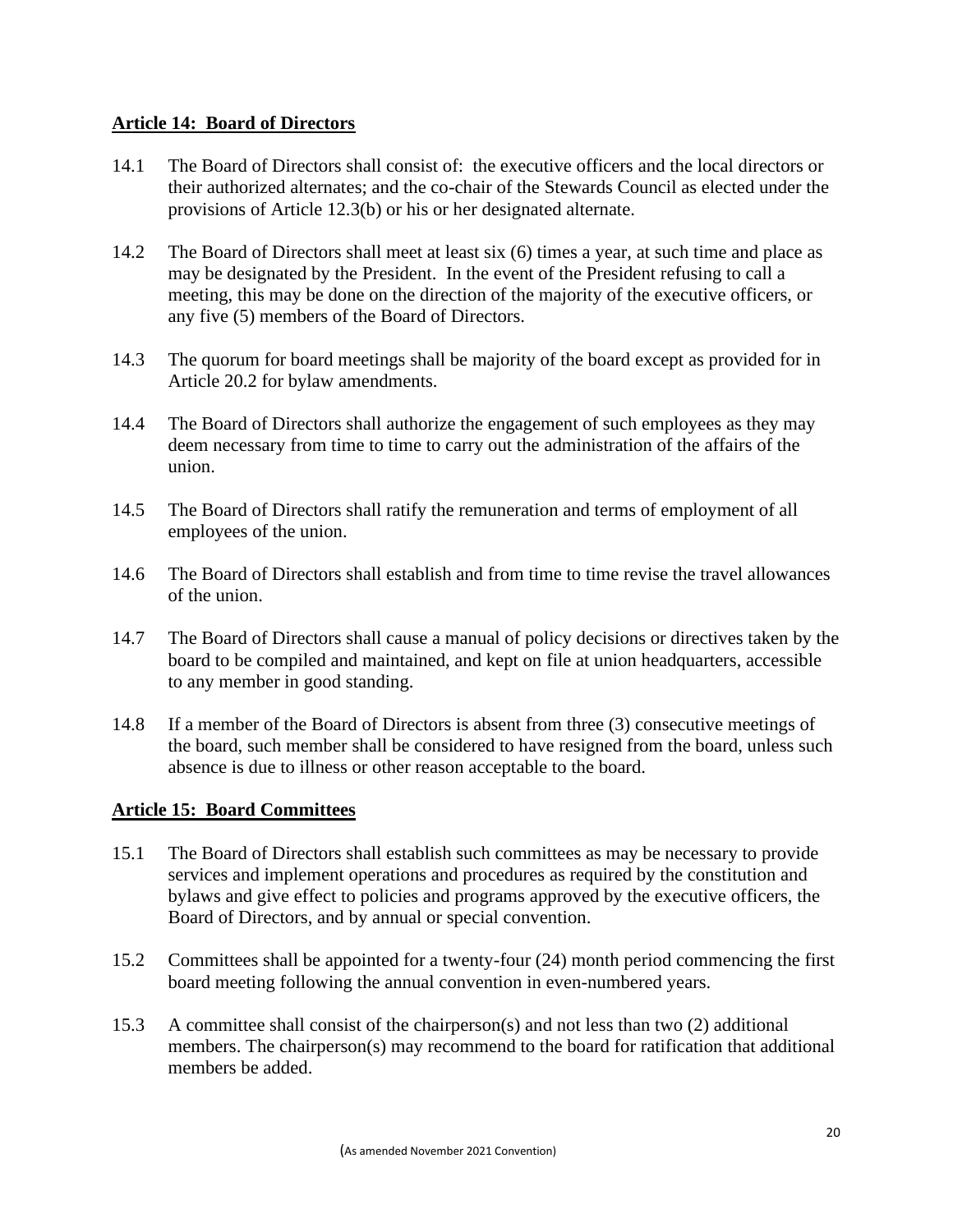### **Article 14: Board of Directors**

- 14.1 The Board of Directors shall consist of: the executive officers and the local directors or their authorized alternates; and the co-chair of the Stewards Council as elected under the provisions of Article 12.3(b) or his or her designated alternate.
- 14.2 The Board of Directors shall meet at least six (6) times a year, at such time and place as may be designated by the President. In the event of the President refusing to call a meeting, this may be done on the direction of the majority of the executive officers, or any five (5) members of the Board of Directors.
- 14.3 The quorum for board meetings shall be majority of the board except as provided for in Article 20.2 for bylaw amendments.
- 14.4 The Board of Directors shall authorize the engagement of such employees as they may deem necessary from time to time to carry out the administration of the affairs of the union.
- 14.5 The Board of Directors shall ratify the remuneration and terms of employment of all employees of the union.
- 14.6 The Board of Directors shall establish and from time to time revise the travel allowances of the union.
- 14.7 The Board of Directors shall cause a manual of policy decisions or directives taken by the board to be compiled and maintained, and kept on file at union headquarters, accessible to any member in good standing.
- 14.8 If a member of the Board of Directors is absent from three (3) consecutive meetings of the board, such member shall be considered to have resigned from the board, unless such absence is due to illness or other reason acceptable to the board.

### **Article 15: Board Committees**

- 15.1 The Board of Directors shall establish such committees as may be necessary to provide services and implement operations and procedures as required by the constitution and bylaws and give effect to policies and programs approved by the executive officers, the Board of Directors, and by annual or special convention.
- 15.2 Committees shall be appointed for a twenty-four (24) month period commencing the first board meeting following the annual convention in even-numbered years.
- 15.3 A committee shall consist of the chairperson(s) and not less than two (2) additional members. The chairperson(s) may recommend to the board for ratification that additional members be added.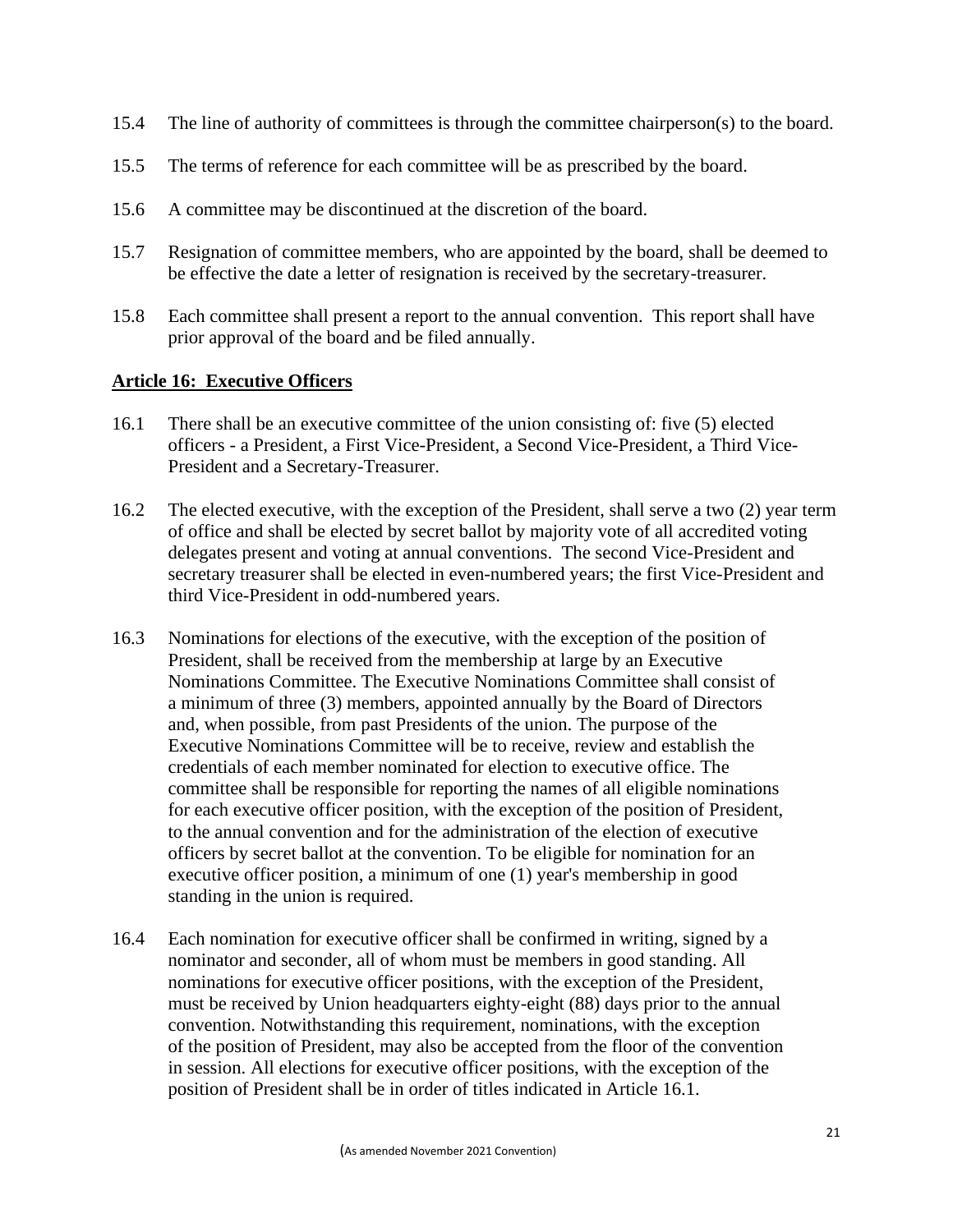- 15.4 The line of authority of committees is through the committee chairperson(s) to the board.
- 15.5 The terms of reference for each committee will be as prescribed by the board.
- 15.6 A committee may be discontinued at the discretion of the board.
- 15.7 Resignation of committee members, who are appointed by the board, shall be deemed to be effective the date a letter of resignation is received by the secretary-treasurer.
- 15.8 Each committee shall present a report to the annual convention. This report shall have prior approval of the board and be filed annually.

### **Article 16: Executive Officers**

- 16.1 There shall be an executive committee of the union consisting of: five (5) elected officers - a President, a First Vice-President, a Second Vice-President, a Third Vice-President and a Secretary-Treasurer.
- 16.2 The elected executive, with the exception of the President, shall serve a two (2) year term of office and shall be elected by secret ballot by majority vote of all accredited voting delegates present and voting at annual conventions. The second Vice-President and secretary treasurer shall be elected in even-numbered years; the first Vice-President and third Vice-President in odd-numbered years.
- 16.3 Nominations for elections of the executive, with the exception of the position of President, shall be received from the membership at large by an Executive Nominations Committee. The Executive Nominations Committee shall consist of a minimum of three (3) members, appointed annually by the Board of Directors and, when possible, from past Presidents of the union. The purpose of the Executive Nominations Committee will be to receive, review and establish the credentials of each member nominated for election to executive office. The committee shall be responsible for reporting the names of all eligible nominations for each executive officer position, with the exception of the position of President, to the annual convention and for the administration of the election of executive officers by secret ballot at the convention. To be eligible for nomination for an executive officer position, a minimum of one (1) year's membership in good standing in the union is required.
- 16.4 Each nomination for executive officer shall be confirmed in writing, signed by a nominator and seconder, all of whom must be members in good standing. All nominations for executive officer positions, with the exception of the President, must be received by Union headquarters eighty-eight (88) days prior to the annual convention. Notwithstanding this requirement, nominations, with the exception of the position of President, may also be accepted from the floor of the convention in session. All elections for executive officer positions, with the exception of the position of President shall be in order of titles indicated in Article 16.1.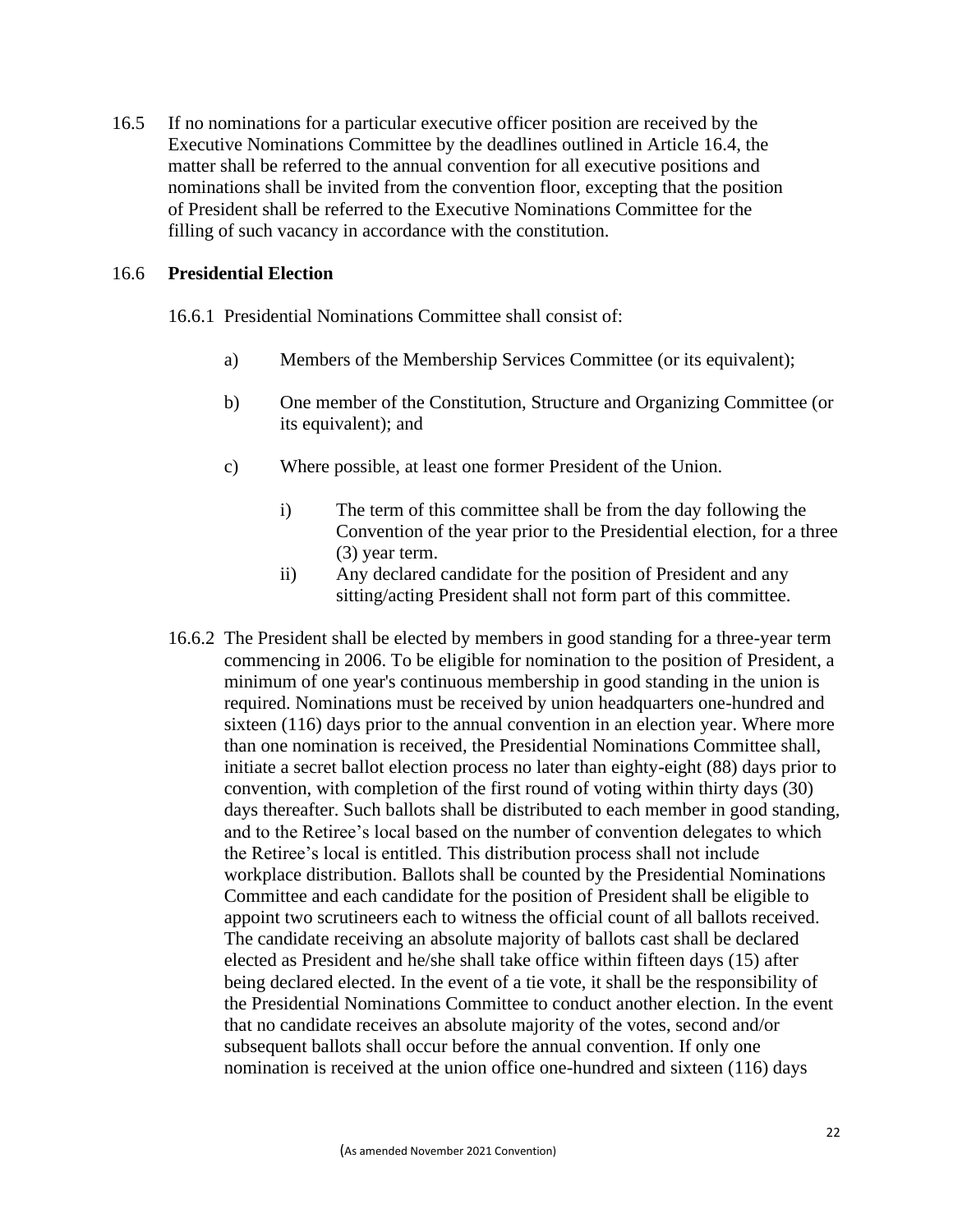16.5 If no nominations for a particular executive officer position are received by the Executive Nominations Committee by the deadlines outlined in Article 16.4, the matter shall be referred to the annual convention for all executive positions and nominations shall be invited from the convention floor, excepting that the position of President shall be referred to the Executive Nominations Committee for the filling of such vacancy in accordance with the constitution.

### 16.6 **Presidential Election**

16.6.1 Presidential Nominations Committee shall consist of:

- a) Members of the Membership Services Committee (or its equivalent);
- b) One member of the Constitution, Structure and Organizing Committee (or its equivalent); and
- c) Where possible, at least one former President of the Union.
	- i) The term of this committee shall be from the day following the Convention of the year prior to the Presidential election, for a three (3) year term.
	- ii) Any declared candidate for the position of President and any sitting/acting President shall not form part of this committee.
- 16.6.2 The President shall be elected by members in good standing for a three-year term commencing in 2006. To be eligible for nomination to the position of President, a minimum of one year's continuous membership in good standing in the union is required. Nominations must be received by union headquarters one-hundred and sixteen (116) days prior to the annual convention in an election year. Where more than one nomination is received, the Presidential Nominations Committee shall, initiate a secret ballot election process no later than eighty-eight (88) days prior to convention, with completion of the first round of voting within thirty days (30) days thereafter. Such ballots shall be distributed to each member in good standing, and to the Retiree's local based on the number of convention delegates to which the Retiree's local is entitled. This distribution process shall not include workplace distribution. Ballots shall be counted by the Presidential Nominations Committee and each candidate for the position of President shall be eligible to appoint two scrutineers each to witness the official count of all ballots received. The candidate receiving an absolute majority of ballots cast shall be declared elected as President and he/she shall take office within fifteen days (15) after being declared elected. In the event of a tie vote, it shall be the responsibility of the Presidential Nominations Committee to conduct another election. In the event that no candidate receives an absolute majority of the votes, second and/or subsequent ballots shall occur before the annual convention. If only one nomination is received at the union office one-hundred and sixteen (116) days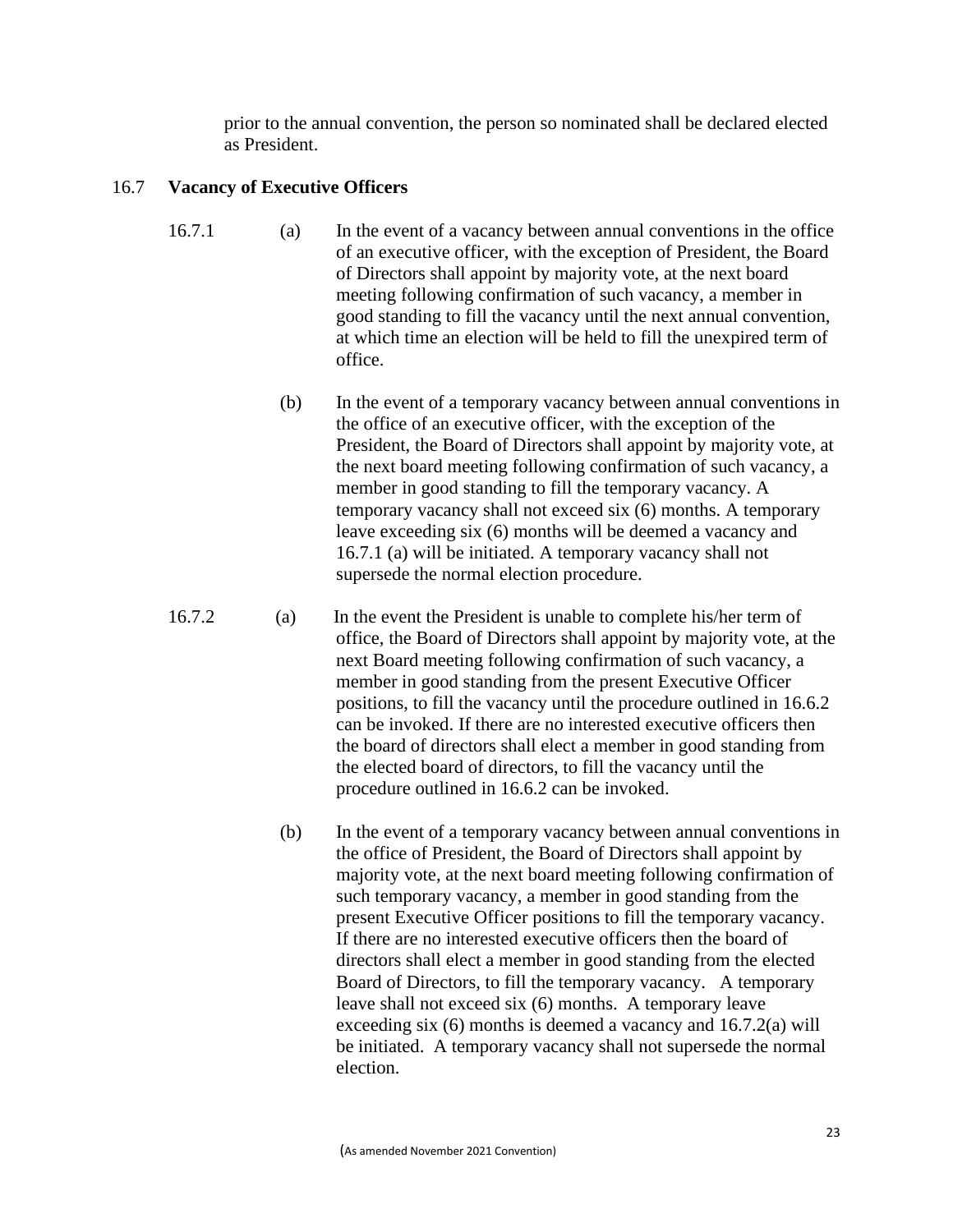prior to the annual convention, the person so nominated shall be declared elected as President.

## 16.7 **Vacancy of Executive Officers**

- 16.7.1 (a) In the event of a vacancy between annual conventions in the office of an executive officer, with the exception of President, the Board of Directors shall appoint by majority vote, at the next board meeting following confirmation of such vacancy, a member in good standing to fill the vacancy until the next annual convention, at which time an election will be held to fill the unexpired term of office.
	- (b) In the event of a temporary vacancy between annual conventions in the office of an executive officer, with the exception of the President, the Board of Directors shall appoint by majority vote, at the next board meeting following confirmation of such vacancy, a member in good standing to fill the temporary vacancy. A temporary vacancy shall not exceed six (6) months. A temporary leave exceeding six (6) months will be deemed a vacancy and 16.7.1 (a) will be initiated. A temporary vacancy shall not supersede the normal election procedure.
- 16.7.2 (a) In the event the President is unable to complete his/her term of office, the Board of Directors shall appoint by majority vote, at the next Board meeting following confirmation of such vacancy, a member in good standing from the present Executive Officer positions, to fill the vacancy until the procedure outlined in 16.6.2 can be invoked. If there are no interested executive officers then the board of directors shall elect a member in good standing from the elected board of directors, to fill the vacancy until the procedure outlined in 16.6.2 can be invoked.
	- (b) In the event of a temporary vacancy between annual conventions in the office of President, the Board of Directors shall appoint by majority vote, at the next board meeting following confirmation of such temporary vacancy, a member in good standing from the present Executive Officer positions to fill the temporary vacancy. If there are no interested executive officers then the board of directors shall elect a member in good standing from the elected Board of Directors, to fill the temporary vacancy. A temporary leave shall not exceed six (6) months. A temporary leave exceeding six (6) months is deemed a vacancy and 16.7.2(a) will be initiated. A temporary vacancy shall not supersede the normal election.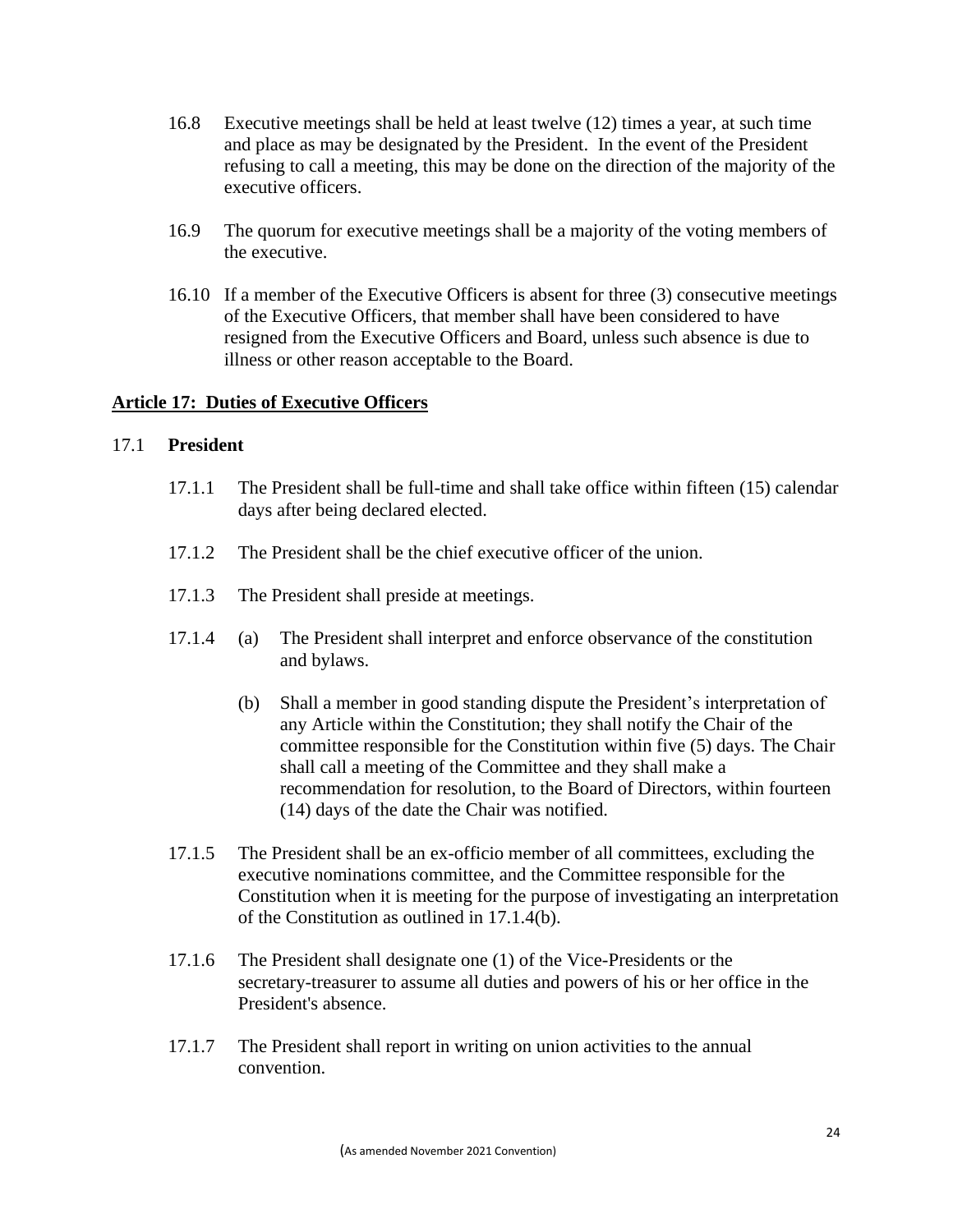- 16.8 Executive meetings shall be held at least twelve (12) times a year, at such time and place as may be designated by the President. In the event of the President refusing to call a meeting, this may be done on the direction of the majority of the executive officers.
- 16.9 The quorum for executive meetings shall be a majority of the voting members of the executive.
- 16.10 If a member of the Executive Officers is absent for three (3) consecutive meetings of the Executive Officers, that member shall have been considered to have resigned from the Executive Officers and Board, unless such absence is due to illness or other reason acceptable to the Board.

### **Article 17: Duties of Executive Officers**

#### 17.1 **President**

- 17.1.1 The President shall be full-time and shall take office within fifteen (15) calendar days after being declared elected.
- 17.1.2 The President shall be the chief executive officer of the union.
- 17.1.3 The President shall preside at meetings.
- 17.1.4 (a) The President shall interpret and enforce observance of the constitution and bylaws.
	- (b) Shall a member in good standing dispute the President's interpretation of any Article within the Constitution; they shall notify the Chair of the committee responsible for the Constitution within five (5) days. The Chair shall call a meeting of the Committee and they shall make a recommendation for resolution, to the Board of Directors, within fourteen (14) days of the date the Chair was notified.
- 17.1.5 The President shall be an ex-officio member of all committees, excluding the executive nominations committee, and the Committee responsible for the Constitution when it is meeting for the purpose of investigating an interpretation of the Constitution as outlined in 17.1.4(b).
- 17.1.6 The President shall designate one (1) of the Vice-Presidents or the secretary-treasurer to assume all duties and powers of his or her office in the President's absence.
- 17.1.7 The President shall report in writing on union activities to the annual convention.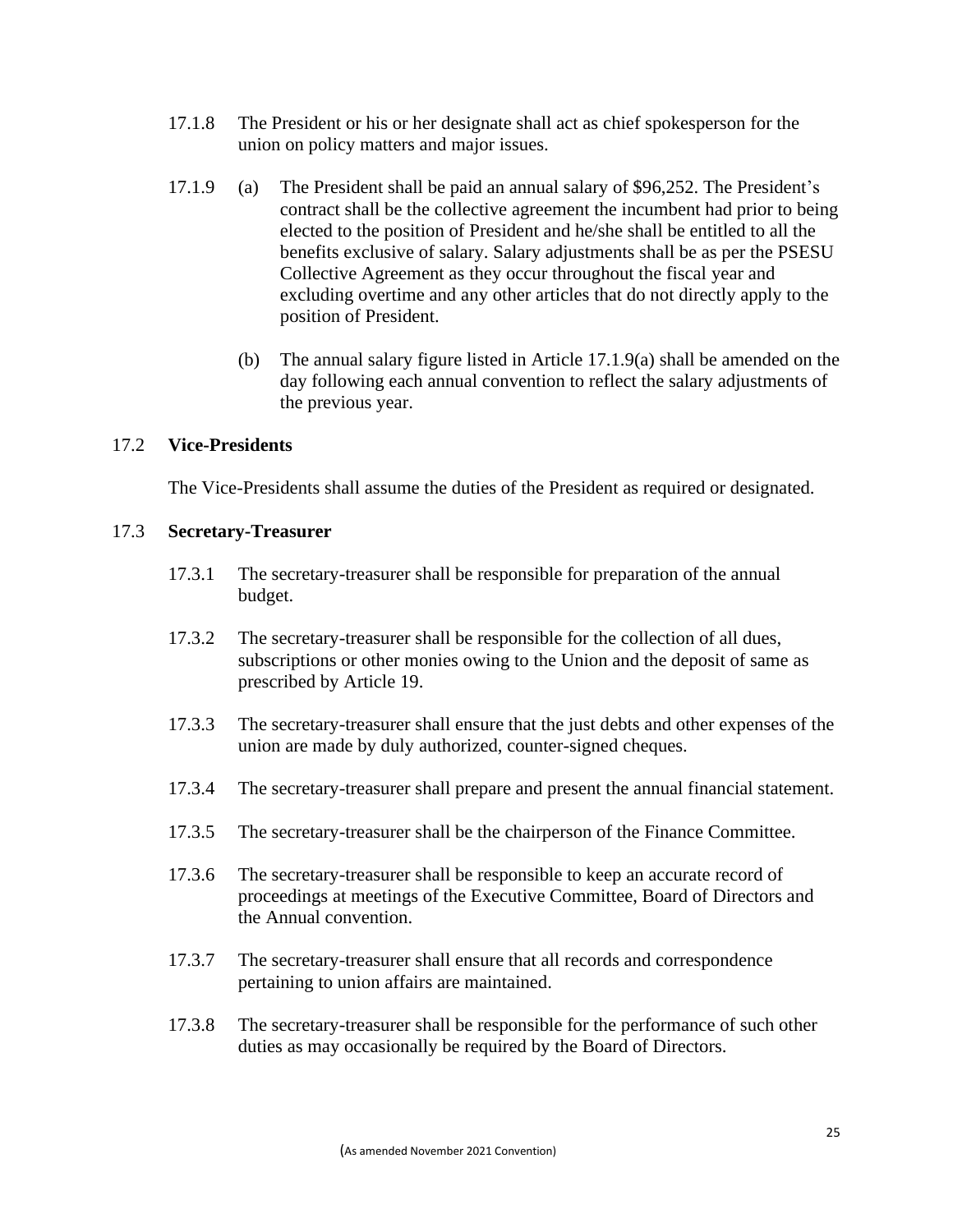- 17.1.8 The President or his or her designate shall act as chief spokesperson for the union on policy matters and major issues.
- 17.1.9 (a) The President shall be paid an annual salary of \$96,252. The President's contract shall be the collective agreement the incumbent had prior to being elected to the position of President and he/she shall be entitled to all the benefits exclusive of salary. Salary adjustments shall be as per the PSESU Collective Agreement as they occur throughout the fiscal year and excluding overtime and any other articles that do not directly apply to the position of President.
	- (b) The annual salary figure listed in Article 17.1.9(a) shall be amended on the day following each annual convention to reflect the salary adjustments of the previous year.

### 17.2 **Vice-Presidents**

The Vice-Presidents shall assume the duties of the President as required or designated.

### 17.3 **Secretary-Treasurer**

- 17.3.1 The secretary-treasurer shall be responsible for preparation of the annual budget.
- 17.3.2 The secretary-treasurer shall be responsible for the collection of all dues, subscriptions or other monies owing to the Union and the deposit of same as prescribed by Article 19.
- 17.3.3 The secretary-treasurer shall ensure that the just debts and other expenses of the union are made by duly authorized, counter-signed cheques.
- 17.3.4 The secretary-treasurer shall prepare and present the annual financial statement.
- 17.3.5 The secretary-treasurer shall be the chairperson of the Finance Committee.
- 17.3.6 The secretary-treasurer shall be responsible to keep an accurate record of proceedings at meetings of the Executive Committee, Board of Directors and the Annual convention.
- 17.3.7 The secretary-treasurer shall ensure that all records and correspondence pertaining to union affairs are maintained.
- 17.3.8 The secretary-treasurer shall be responsible for the performance of such other duties as may occasionally be required by the Board of Directors.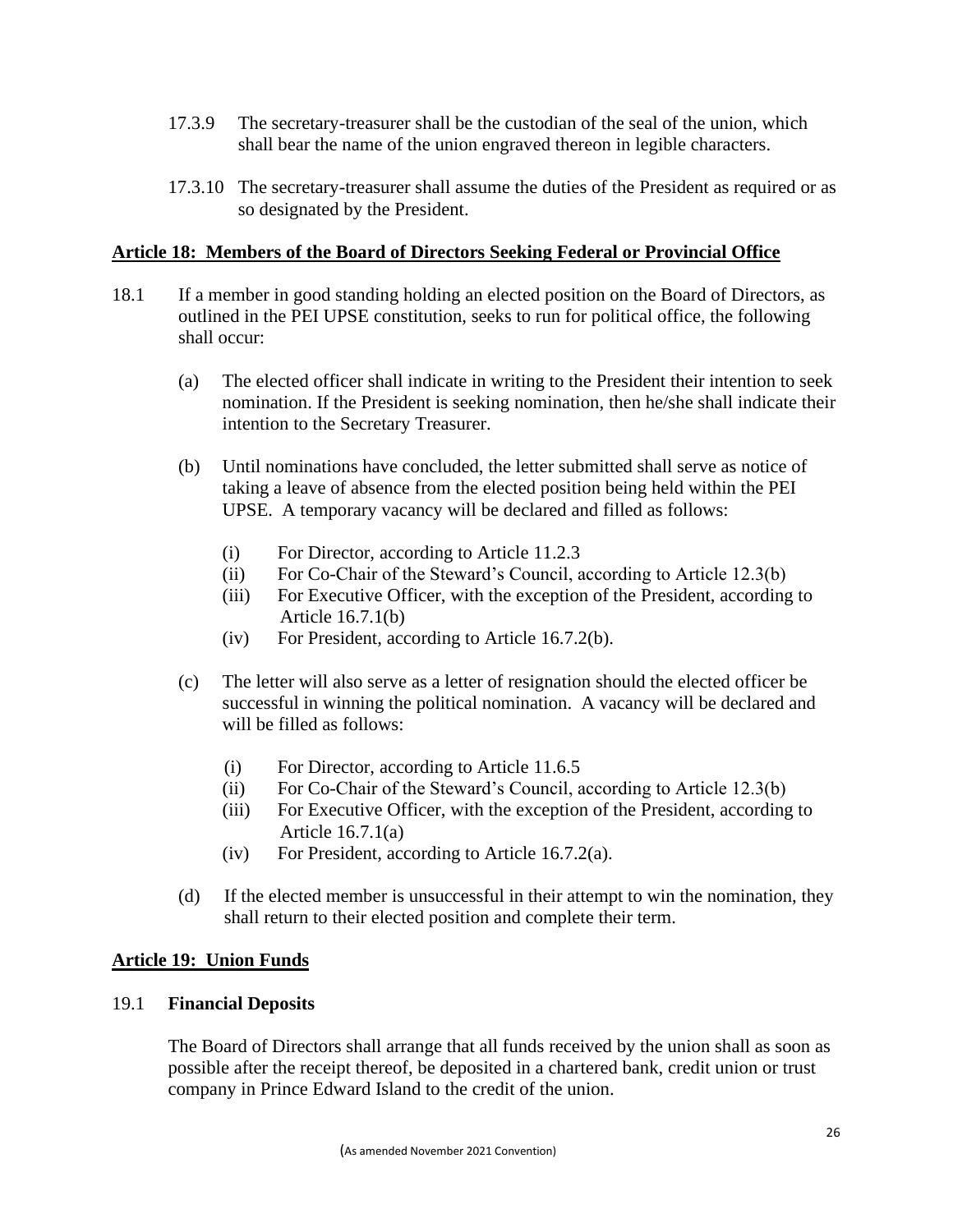- 17.3.9 The secretary-treasurer shall be the custodian of the seal of the union, which shall bear the name of the union engraved thereon in legible characters.
- 17.3.10 The secretary-treasurer shall assume the duties of the President as required or as so designated by the President.

### **Article 18: Members of the Board of Directors Seeking Federal or Provincial Office**

- 18.1 If a member in good standing holding an elected position on the Board of Directors, as outlined in the PEI UPSE constitution, seeks to run for political office, the following shall occur:
	- (a) The elected officer shall indicate in writing to the President their intention to seek nomination. If the President is seeking nomination, then he/she shall indicate their intention to the Secretary Treasurer.
	- (b) Until nominations have concluded, the letter submitted shall serve as notice of taking a leave of absence from the elected position being held within the PEI UPSE. A temporary vacancy will be declared and filled as follows:
		- (i) For Director, according to Article 11.2.3
		- (ii) For Co-Chair of the Steward's Council, according to Article 12.3(b)
		- (iii) For Executive Officer, with the exception of the President, according to Article 16.7.1(b)
		- (iv) For President, according to Article 16.7.2(b).
	- (c) The letter will also serve as a letter of resignation should the elected officer be successful in winning the political nomination. A vacancy will be declared and will be filled as follows:
		- (i) For Director, according to Article 11.6.5
		- (ii) For Co-Chair of the Steward's Council, according to Article 12.3(b)
		- (iii) For Executive Officer, with the exception of the President, according to Article 16.7.1(a)
		- (iv) For President, according to Article 16.7.2(a).
	- (d) If the elected member is unsuccessful in their attempt to win the nomination, they shall return to their elected position and complete their term.

### **Article 19: Union Funds**

### 19.1 **Financial Deposits**

The Board of Directors shall arrange that all funds received by the union shall as soon as possible after the receipt thereof, be deposited in a chartered bank, credit union or trust company in Prince Edward Island to the credit of the union.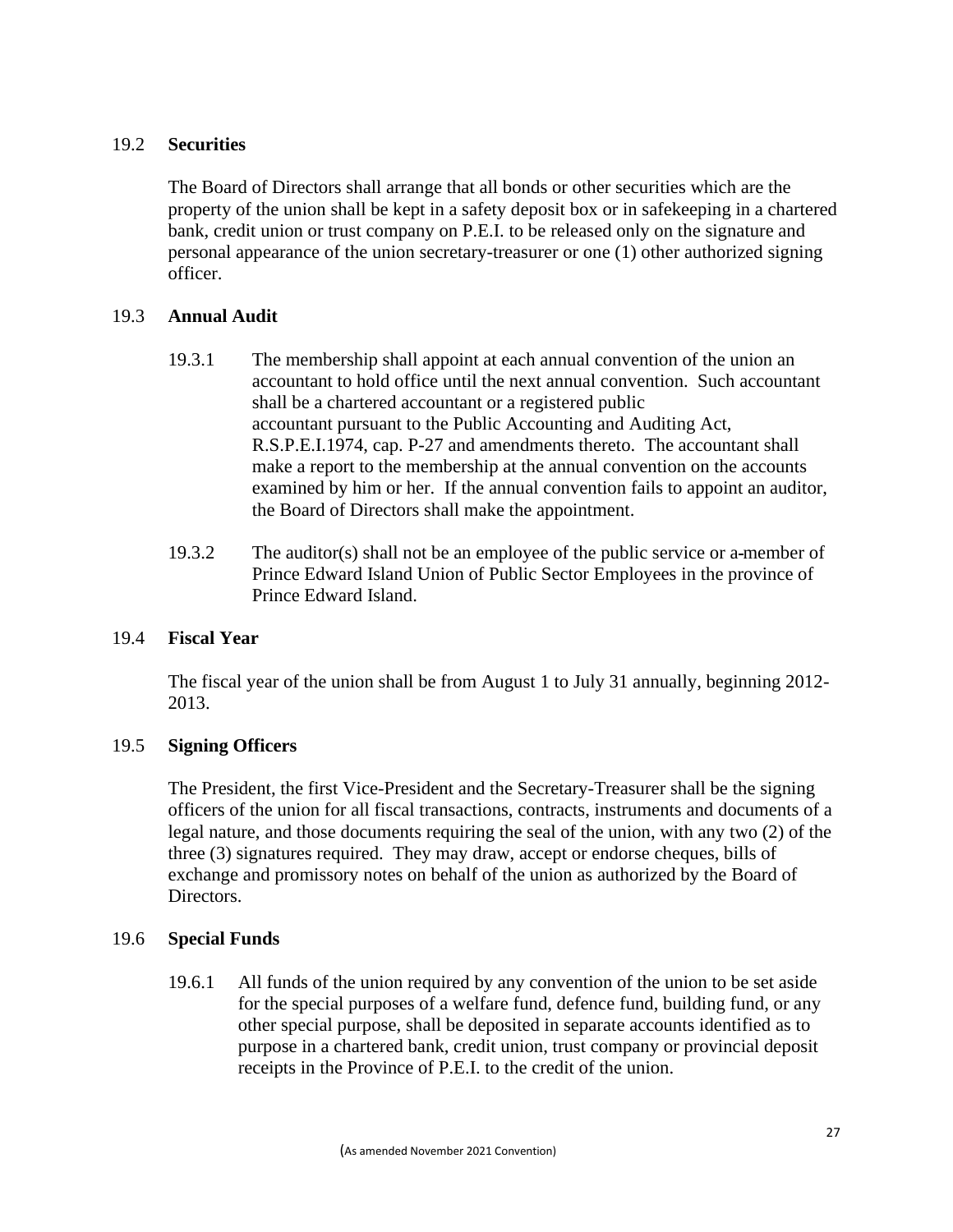### 19.2 **Securities**

The Board of Directors shall arrange that all bonds or other securities which are the property of the union shall be kept in a safety deposit box or in safekeeping in a chartered bank, credit union or trust company on P.E.I. to be released only on the signature and personal appearance of the union secretary-treasurer or one (1) other authorized signing officer.

### 19.3 **Annual Audit**

- 19.3.1 The membership shall appoint at each annual convention of the union an accountant to hold office until the next annual convention. Such accountant shall be a chartered accountant or a registered public accountant pursuant to the Public Accounting and Auditing Act, R.S.P.E.I.1974, cap. P-27 and amendments thereto. The accountant shall make a report to the membership at the annual convention on the accounts examined by him or her. If the annual convention fails to appoint an auditor, the Board of Directors shall make the appointment.
- 19.3.2 The auditor(s) shall not be an employee of the public service or a member of Prince Edward Island Union of Public Sector Employees in the province of Prince Edward Island.

## 19.4 **Fiscal Year**

The fiscal year of the union shall be from August 1 to July 31 annually, beginning 2012- 2013.

### 19.5 **Signing Officers**

The President, the first Vice-President and the Secretary-Treasurer shall be the signing officers of the union for all fiscal transactions, contracts, instruments and documents of a legal nature, and those documents requiring the seal of the union, with any two (2) of the three (3) signatures required. They may draw, accept or endorse cheques, bills of exchange and promissory notes on behalf of the union as authorized by the Board of Directors.

### 19.6 **Special Funds**

19.6.1 All funds of the union required by any convention of the union to be set aside for the special purposes of a welfare fund, defence fund, building fund, or any other special purpose, shall be deposited in separate accounts identified as to purpose in a chartered bank, credit union, trust company or provincial deposit receipts in the Province of P.E.I. to the credit of the union.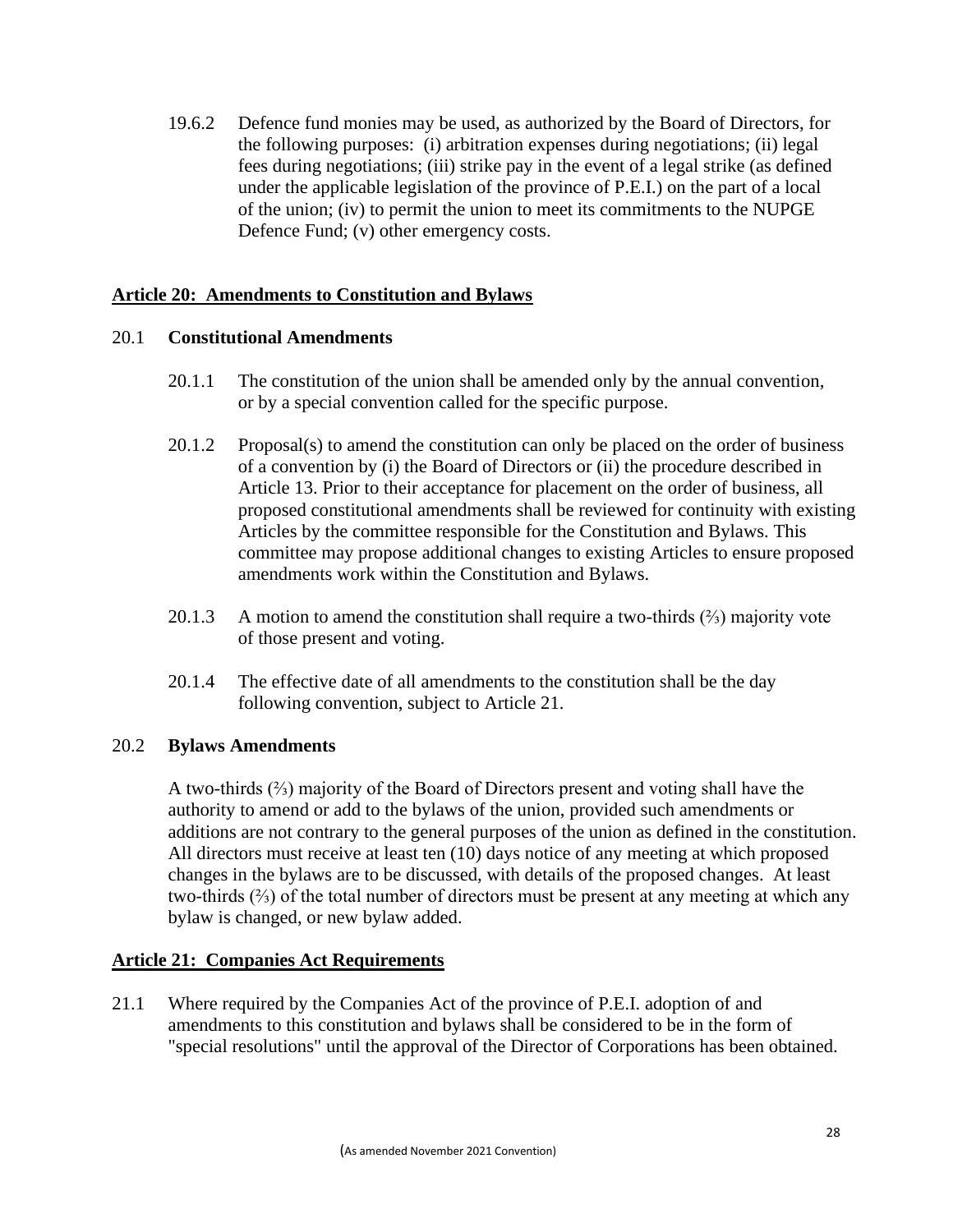19.6.2 Defence fund monies may be used, as authorized by the Board of Directors, for the following purposes: (i) arbitration expenses during negotiations; (ii) legal fees during negotiations; (iii) strike pay in the event of a legal strike (as defined under the applicable legislation of the province of P.E.I.) on the part of a local of the union; (iv) to permit the union to meet its commitments to the NUPGE Defence Fund; (v) other emergency costs.

### **Article 20: Amendments to Constitution and Bylaws**

### 20.1 **Constitutional Amendments**

- 20.1.1 The constitution of the union shall be amended only by the annual convention, or by a special convention called for the specific purpose.
- 20.1.2 Proposal(s) to amend the constitution can only be placed on the order of business of a convention by (i) the Board of Directors or (ii) the procedure described in Article 13. Prior to their acceptance for placement on the order of business, all proposed constitutional amendments shall be reviewed for continuity with existing Articles by the committee responsible for the Constitution and Bylaws. This committee may propose additional changes to existing Articles to ensure proposed amendments work within the Constitution and Bylaws.
- 20.1.3 A motion to amend the constitution shall require a two-thirds (⅔) majority vote of those present and voting.
- 20.1.4 The effective date of all amendments to the constitution shall be the day following convention, subject to Article 21.

#### 20.2 **Bylaws Amendments**

A two-thirds (⅔) majority of the Board of Directors present and voting shall have the authority to amend or add to the bylaws of the union, provided such amendments or additions are not contrary to the general purposes of the union as defined in the constitution. All directors must receive at least ten (10) days notice of any meeting at which proposed changes in the bylaws are to be discussed, with details of the proposed changes. At least two-thirds (⅔) of the total number of directors must be present at any meeting at which any bylaw is changed, or new bylaw added.

### **Article 21: Companies Act Requirements**

21.1 Where required by the Companies Act of the province of P.E.I. adoption of and amendments to this constitution and bylaws shall be considered to be in the form of "special resolutions" until the approval of the Director of Corporations has been obtained.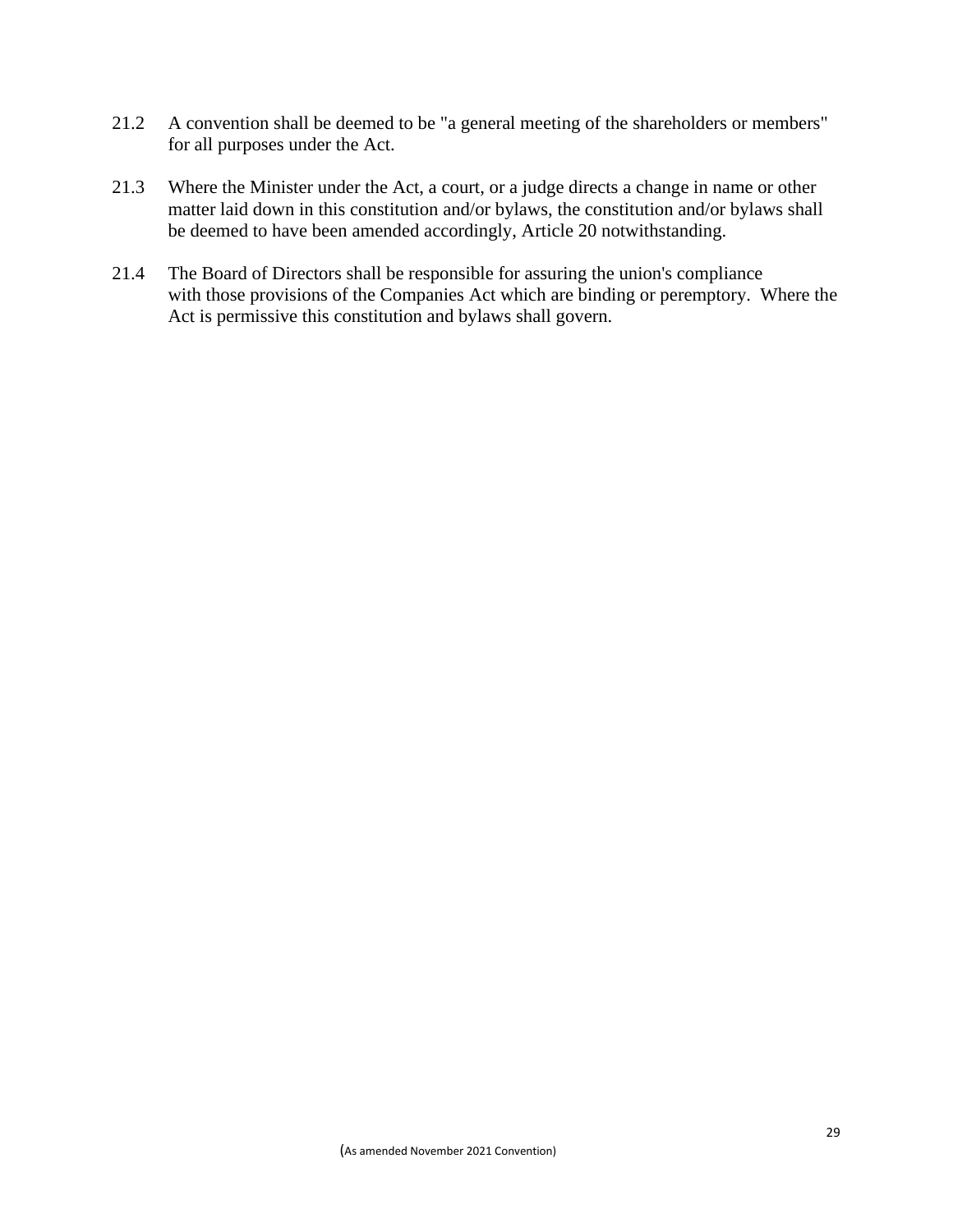- 21.2 A convention shall be deemed to be "a general meeting of the shareholders or members" for all purposes under the Act.
- 21.3 Where the Minister under the Act, a court, or a judge directs a change in name or other matter laid down in this constitution and/or bylaws, the constitution and/or bylaws shall be deemed to have been amended accordingly, Article 20 notwithstanding.
- 21.4 The Board of Directors shall be responsible for assuring the union's compliance with those provisions of the Companies Act which are binding or peremptory. Where the Act is permissive this constitution and bylaws shall govern.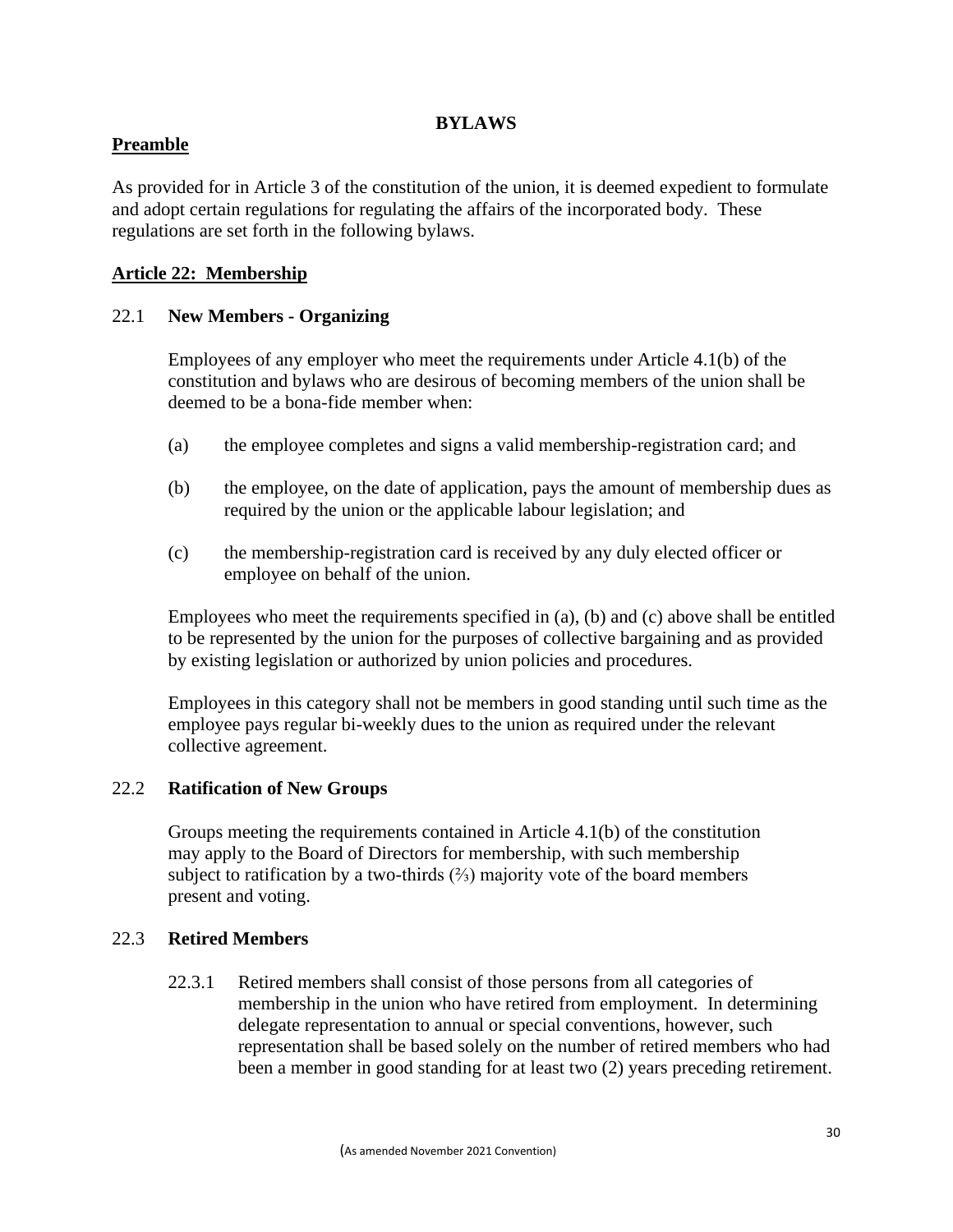### **BYLAWS**

### **Preamble**

As provided for in Article 3 of the constitution of the union, it is deemed expedient to formulate and adopt certain regulations for regulating the affairs of the incorporated body. These regulations are set forth in the following bylaws.

### **Article 22: Membership**

### 22.1 **New Members - Organizing**

Employees of any employer who meet the requirements under Article 4.1(b) of the constitution and bylaws who are desirous of becoming members of the union shall be deemed to be a bona-fide member when:

- (a) the employee completes and signs a valid membership-registration card; and
- (b) the employee, on the date of application, pays the amount of membership dues as required by the union or the applicable labour legislation; and
- (c) the membership-registration card is received by any duly elected officer or employee on behalf of the union.

Employees who meet the requirements specified in (a), (b) and (c) above shall be entitled to be represented by the union for the purposes of collective bargaining and as provided by existing legislation or authorized by union policies and procedures.

Employees in this category shall not be members in good standing until such time as the employee pays regular bi-weekly dues to the union as required under the relevant collective agreement.

### 22.2 **Ratification of New Groups**

Groups meeting the requirements contained in Article 4.1(b) of the constitution may apply to the Board of Directors for membership, with such membership subject to ratification by a two-thirds  $(\frac{2}{3})$  majority vote of the board members present and voting.

### 22.3 **Retired Members**

22.3.1 Retired members shall consist of those persons from all categories of membership in the union who have retired from employment. In determining delegate representation to annual or special conventions, however, such representation shall be based solely on the number of retired members who had been a member in good standing for at least two (2) years preceding retirement.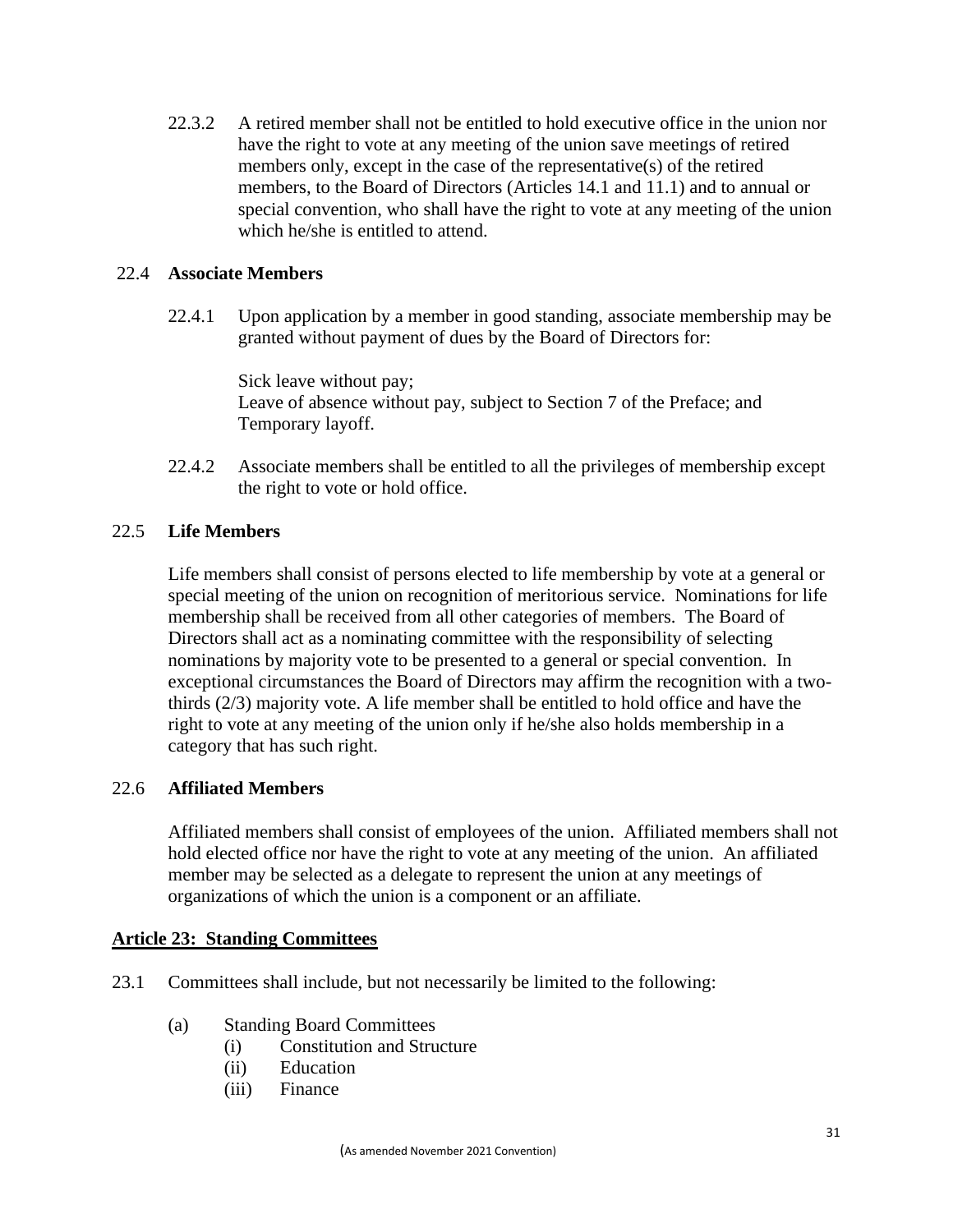22.3.2 A retired member shall not be entitled to hold executive office in the union nor have the right to vote at any meeting of the union save meetings of retired members only, except in the case of the representative(s) of the retired members, to the Board of Directors (Articles 14.1 and 11.1) and to annual or special convention, who shall have the right to vote at any meeting of the union which he/she is entitled to attend.

### 22.4 **Associate Members**

22.4.1 Upon application by a member in good standing, associate membership may be granted without payment of dues by the Board of Directors for:

> Sick leave without pay; Leave of absence without pay, subject to Section 7 of the Preface; and Temporary layoff.

22.4.2 Associate members shall be entitled to all the privileges of membership except the right to vote or hold office.

### 22.5 **Life Members**

Life members shall consist of persons elected to life membership by vote at a general or special meeting of the union on recognition of meritorious service. Nominations for life membership shall be received from all other categories of members. The Board of Directors shall act as a nominating committee with the responsibility of selecting nominations by majority vote to be presented to a general or special convention. In exceptional circumstances the Board of Directors may affirm the recognition with a twothirds (2/3) majority vote. A life member shall be entitled to hold office and have the right to vote at any meeting of the union only if he/she also holds membership in a category that has such right.

### 22.6 **Affiliated Members**

Affiliated members shall consist of employees of the union. Affiliated members shall not hold elected office nor have the right to vote at any meeting of the union. An affiliated member may be selected as a delegate to represent the union at any meetings of organizations of which the union is a component or an affiliate.

### **Article 23: Standing Committees**

- 23.1 Committees shall include, but not necessarily be limited to the following:
	- (a) Standing Board Committees
		- (i) Constitution and Structure
		- (ii) Education
		- (iii) Finance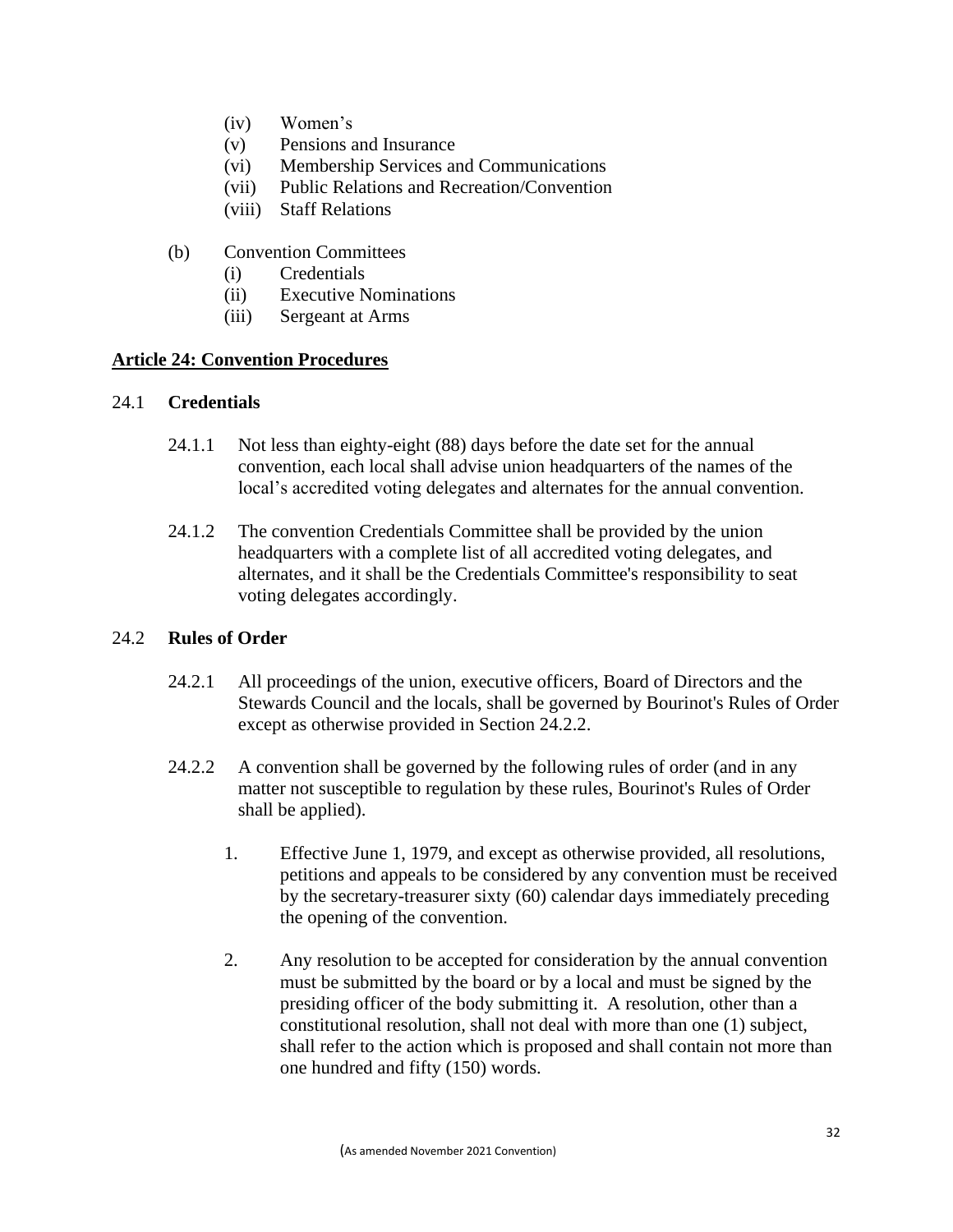- (iv) Women's
- (v) Pensions and Insurance
- (vi) Membership Services and Communications
- (vii) Public Relations and Recreation/Convention
- (viii) Staff Relations
- (b) Convention Committees
	- (i) Credentials
	- (ii) Executive Nominations
	- (iii) Sergeant at Arms

### **Article 24: Convention Procedures**

#### 24.1 **Credentials**

- 24.1.1 Not less than eighty-eight (88) days before the date set for the annual convention, each local shall advise union headquarters of the names of the local's accredited voting delegates and alternates for the annual convention.
- 24.1.2 The convention Credentials Committee shall be provided by the union headquarters with a complete list of all accredited voting delegates, and alternates, and it shall be the Credentials Committee's responsibility to seat voting delegates accordingly.

### 24.2 **Rules of Order**

- 24.2.1 All proceedings of the union, executive officers, Board of Directors and the Stewards Council and the locals, shall be governed by Bourinot's Rules of Order except as otherwise provided in Section 24.2.2.
- 24.2.2 A convention shall be governed by the following rules of order (and in any matter not susceptible to regulation by these rules, Bourinot's Rules of Order shall be applied).
	- 1. Effective June 1, 1979, and except as otherwise provided, all resolutions, petitions and appeals to be considered by any convention must be received by the secretary-treasurer sixty (60) calendar days immediately preceding the opening of the convention.
	- 2. Any resolution to be accepted for consideration by the annual convention must be submitted by the board or by a local and must be signed by the presiding officer of the body submitting it. A resolution, other than a constitutional resolution, shall not deal with more than one (1) subject, shall refer to the action which is proposed and shall contain not more than one hundred and fifty (150) words.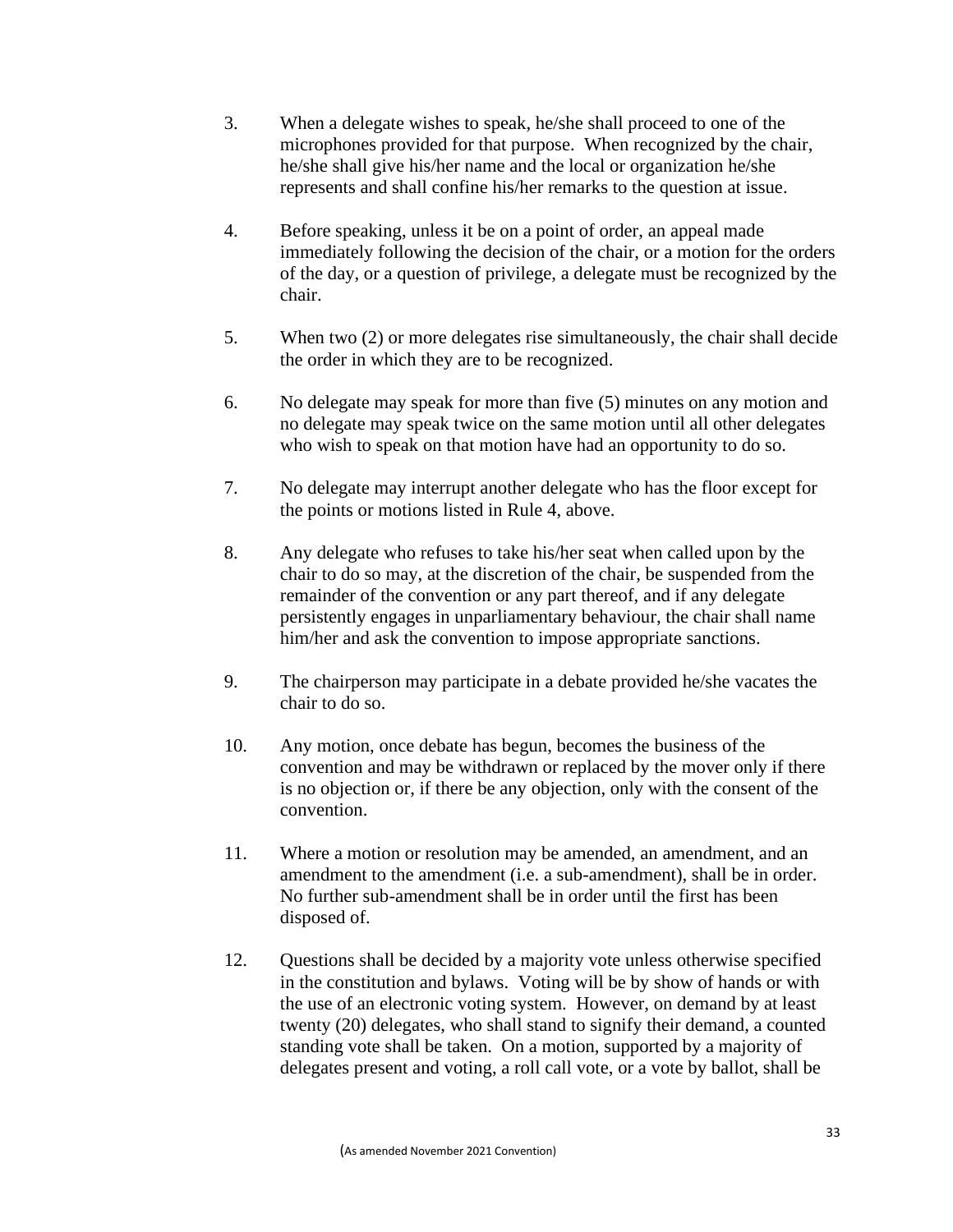- 3. When a delegate wishes to speak, he/she shall proceed to one of the microphones provided for that purpose. When recognized by the chair, he/she shall give his/her name and the local or organization he/she represents and shall confine his/her remarks to the question at issue.
- 4. Before speaking, unless it be on a point of order, an appeal made immediately following the decision of the chair, or a motion for the orders of the day, or a question of privilege, a delegate must be recognized by the chair.
- 5. When two (2) or more delegates rise simultaneously, the chair shall decide the order in which they are to be recognized.
- 6. No delegate may speak for more than five (5) minutes on any motion and no delegate may speak twice on the same motion until all other delegates who wish to speak on that motion have had an opportunity to do so.
- 7. No delegate may interrupt another delegate who has the floor except for the points or motions listed in Rule 4, above.
- 8. Any delegate who refuses to take his/her seat when called upon by the chair to do so may, at the discretion of the chair, be suspended from the remainder of the convention or any part thereof, and if any delegate persistently engages in unparliamentary behaviour, the chair shall name him/her and ask the convention to impose appropriate sanctions.
- 9. The chairperson may participate in a debate provided he/she vacates the chair to do so.
- 10. Any motion, once debate has begun, becomes the business of the convention and may be withdrawn or replaced by the mover only if there is no objection or, if there be any objection, only with the consent of the convention.
- 11. Where a motion or resolution may be amended, an amendment, and an amendment to the amendment (i.e. a sub-amendment), shall be in order. No further sub-amendment shall be in order until the first has been disposed of.
- 12. Questions shall be decided by a majority vote unless otherwise specified in the constitution and bylaws. Voting will be by show of hands or with the use of an electronic voting system. However, on demand by at least twenty (20) delegates, who shall stand to signify their demand, a counted standing vote shall be taken. On a motion, supported by a majority of delegates present and voting, a roll call vote, or a vote by ballot, shall be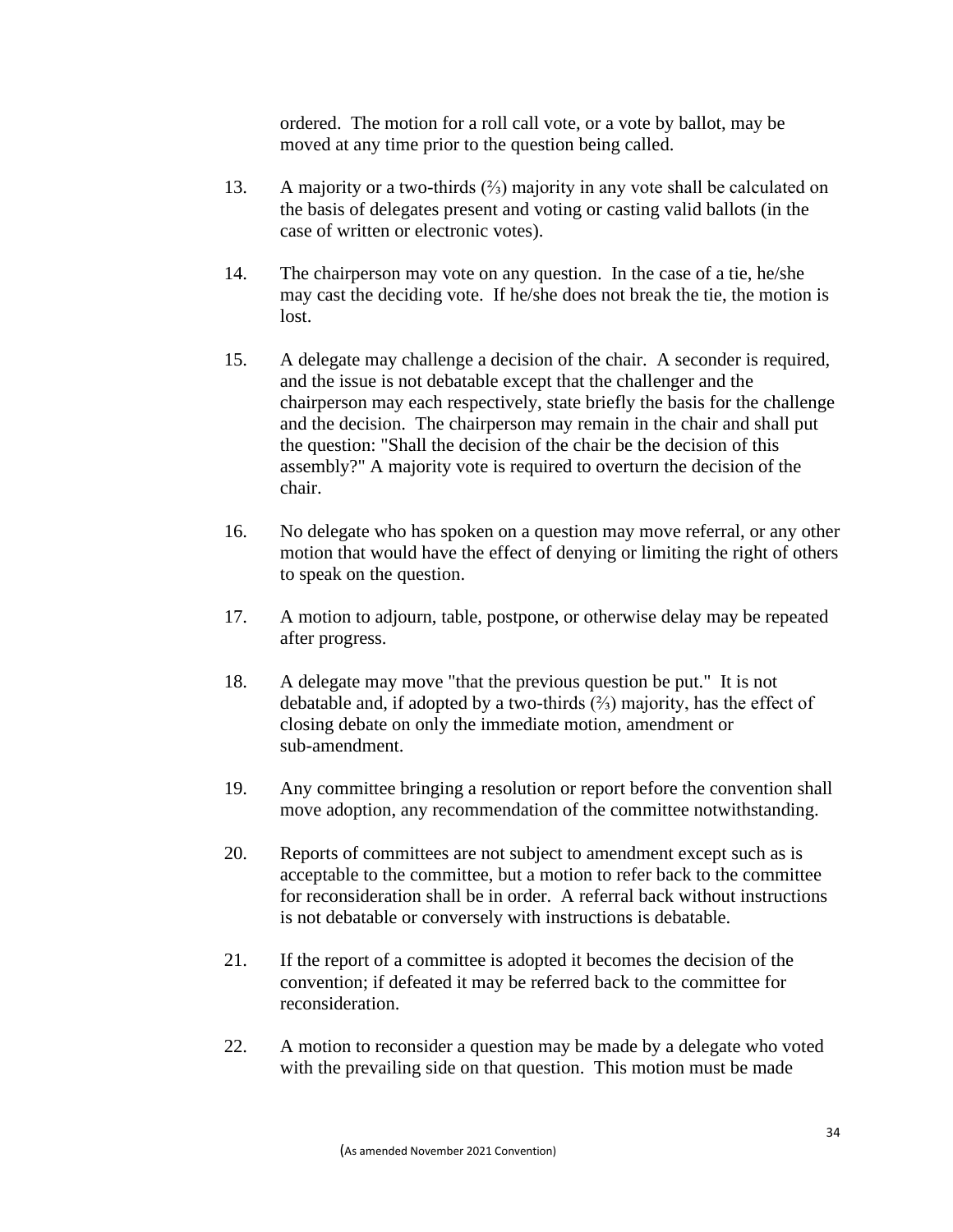ordered. The motion for a roll call vote, or a vote by ballot, may be moved at any time prior to the question being called.

- 13. A majority or a two-thirds (⅔) majority in any vote shall be calculated on the basis of delegates present and voting or casting valid ballots (in the case of written or electronic votes).
- 14. The chairperson may vote on any question. In the case of a tie, he/she may cast the deciding vote. If he/she does not break the tie, the motion is lost.
- 15. A delegate may challenge a decision of the chair. A seconder is required, and the issue is not debatable except that the challenger and the chairperson may each respectively, state briefly the basis for the challenge and the decision. The chairperson may remain in the chair and shall put the question: "Shall the decision of the chair be the decision of this assembly?" A majority vote is required to overturn the decision of the chair.
- 16. No delegate who has spoken on a question may move referral, or any other motion that would have the effect of denying or limiting the right of others to speak on the question.
- 17. A motion to adjourn, table, postpone, or otherwise delay may be repeated after progress.
- 18. A delegate may move "that the previous question be put." It is not debatable and, if adopted by a two-thirds (⅔) majority, has the effect of closing debate on only the immediate motion, amendment or sub-amendment.
- 19. Any committee bringing a resolution or report before the convention shall move adoption, any recommendation of the committee notwithstanding.
- 20. Reports of committees are not subject to amendment except such as is acceptable to the committee, but a motion to refer back to the committee for reconsideration shall be in order. A referral back without instructions is not debatable or conversely with instructions is debatable.
- 21. If the report of a committee is adopted it becomes the decision of the convention; if defeated it may be referred back to the committee for reconsideration.
- 22. A motion to reconsider a question may be made by a delegate who voted with the prevailing side on that question. This motion must be made